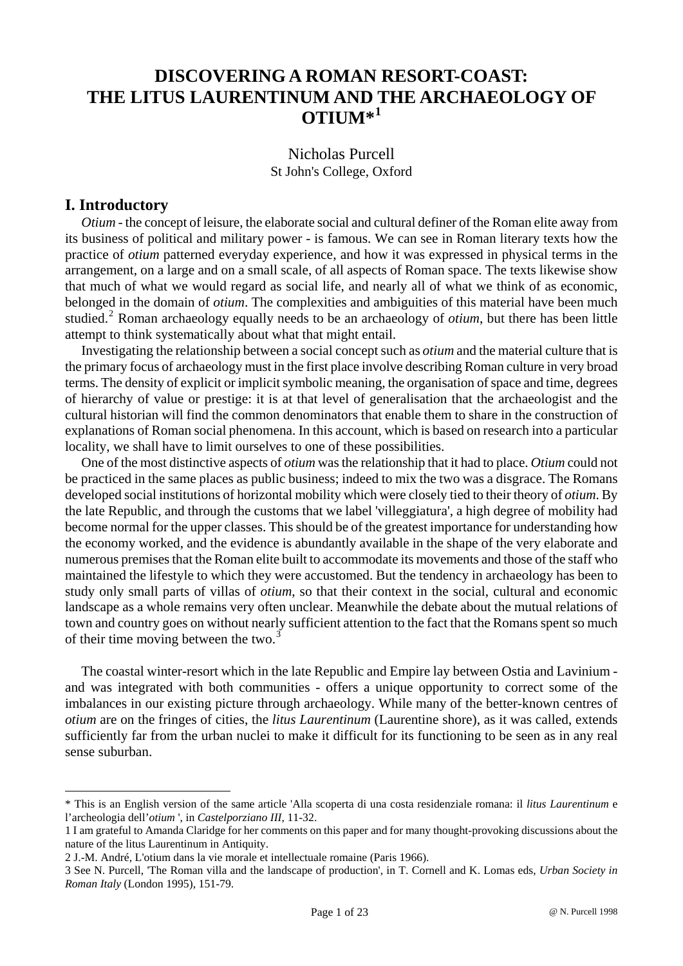# **DISCOVERING A ROMAN RESORT-COAST: THE LITUS LAURENTINUM AND THE ARCHAEOLOGY OF**   $\text{OTII}$ **M** $*$ <sup>[1](#page-0-0)</sup>

Nicholas Purcell St John's College, Oxford

## **I. Introductory**

 $\overline{a}$ 

*Otium* - the concept of leisure, the elaborate social and cultural definer of the Roman elite away from its business of political and military power - is famous. We can see in Roman literary texts how the practice of *otium* patterned everyday experience, and how it was expressed in physical terms in the arrangement, on a large and on a small scale, of all aspects of Roman space. The texts likewise show that much of what we would regard as social life, and nearly all of what we think of as economic, belonged in the domain of *otium*. The complexities and ambiguities of this material have been much studied.<sup>[2](#page-0-1)</sup> Roman archaeology equally needs to be an archaeology of *otium*, but there has been little attempt to think systematically about what that might entail.

Investigating the relationship between a social concept such as *otium* and the material culture that is the primary focus of archaeology must in the first place involve describing Roman culture in very broad terms. The density of explicit or implicit symbolic meaning, the organisation of space and time, degrees of hierarchy of value or prestige: it is at that level of generalisation that the archaeologist and the cultural historian will find the common denominators that enable them to share in the construction of explanations of Roman social phenomena. In this account, which is based on research into a particular locality, we shall have to limit ourselves to one of these possibilities.

One of the most distinctive aspects of *otium* was the relationship that it had to place. *Otium* could not be practiced in the same places as public business; indeed to mix the two was a disgrace. The Romans developed social institutions of horizontal mobility which were closely tied to their theory of *otium*. By the late Republic, and through the customs that we label 'villeggiatura', a high degree of mobility had become normal for the upper classes. This should be of the greatest importance for understanding how the economy worked, and the evidence is abundantly available in the shape of the very elaborate and numerous premises that the Roman elite built to accommodate its movements and those of the staff who maintained the lifestyle to which they were accustomed. But the tendency in archaeology has been to study only small parts of villas of *otium*, so that their context in the social, cultural and economic landscape as a whole remains very often unclear. Meanwhile the debate about the mutual relations of town and country goes on without nearly sufficient attention to the fact that the Romans spent so much of their time moving between the two.<sup>[3](#page-0-2)</sup>

The coastal winter-resort which in the late Republic and Empire lay between Ostia and Lavinium and was integrated with both communities - offers a unique opportunity to correct some of the imbalances in our existing picture through archaeology. While many of the better-known centres of *otium* are on the fringes of cities, the *litus Laurentinum* (Laurentine shore), as it was called, extends sufficiently far from the urban nuclei to make it difficult for its functioning to be seen as in any real sense suburban.

<span id="page-0-0"></span><sup>\*</sup> This is an English version of the same article 'Alla scoperta di una costa residenziale romana: il *litus Laurentinum* e l'archeologia dell'*otium* ', in *Castelporziano III*, 11-32.

<sup>1</sup> I am grateful to Amanda Claridge for her comments on this paper and for many thought-provoking discussions about the nature of the litus Laurentinum in Antiquity.

<span id="page-0-1"></span><sup>2</sup> J.-M. André, L'otium dans la vie morale et intellectuale romaine (Paris 1966).

<span id="page-0-2"></span><sup>3</sup> See N. Purcell, 'The Roman villa and the landscape of production', in T. Cornell and K. Lomas eds, *Urban Society in Roman Italy* (London 1995), 151-79.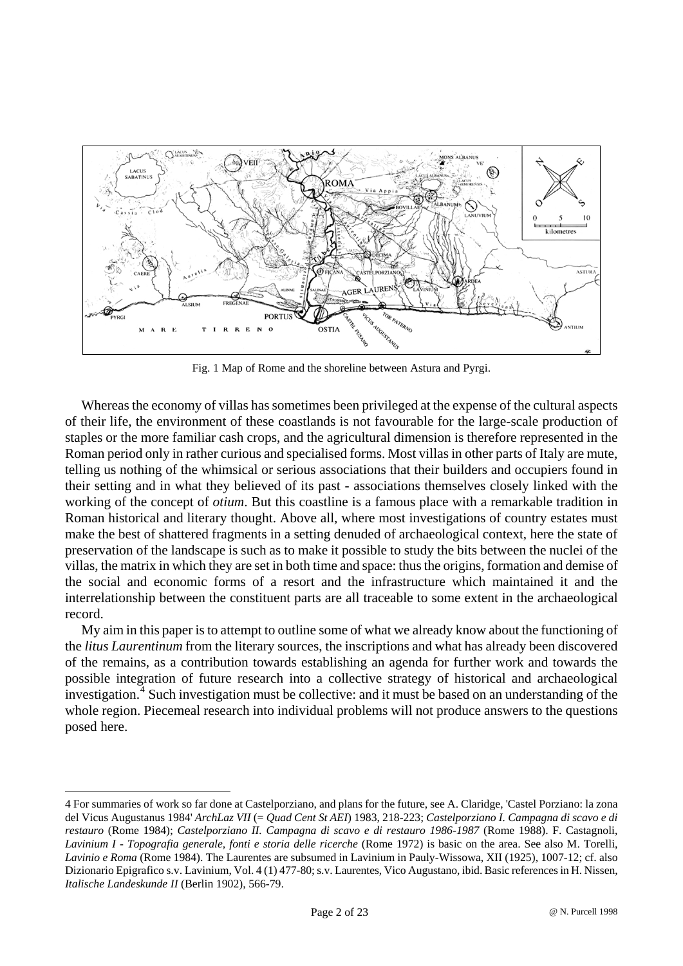

Fig. 1 Map of Rome and the shoreline between Astura and Pyrgi.

Whereas the economy of villas has sometimes been privileged at the expense of the cultural aspects of their life, the environment of these coastlands is not favourable for the large-scale production of staples or the more familiar cash crops, and the agricultural dimension is therefore represented in the Roman period only in rather curious and specialised forms. Most villas in other parts of Italy are mute, telling us nothing of the whimsical or serious associations that their builders and occupiers found in their setting and in what they believed of its past - associations themselves closely linked with the working of the concept of *otium*. But this coastline is a famous place with a remarkable tradition in Roman historical and literary thought. Above all, where most investigations of country estates must make the best of shattered fragments in a setting denuded of archaeological context, here the state of preservation of the landscape is such as to make it possible to study the bits between the nuclei of the villas, the matrix in which they are set in both time and space: thus the origins, formation and demise of the social and economic forms of a resort and the infrastructure which maintained it and the interrelationship between the constituent parts are all traceable to some extent in the archaeological record.

My aim in this paper is to attempt to outline some of what we already know about the functioning of the *litus Laurentinum* from the literary sources, the inscriptions and what has already been discovered of the remains, as a contribution towards establishing an agenda for further work and towards the possible integration of future research into a collective strategy of historical and archaeological investigation.<sup>[4](#page-1-0)</sup> Such investigation must be collective: and it must be based on an understanding of the whole region. Piecemeal research into individual problems will not produce answers to the questions posed here.

<span id="page-1-0"></span><sup>4</sup> For summaries of work so far done at Castelporziano, and plans for the future, see A. Claridge, 'Castel Porziano: la zona del Vicus Augustanus 1984' *ArchLaz VII* (= *Quad Cent St AEI*) 1983, 218-223; *Castelporziano I. Campagna di scavo e di restauro* (Rome 1984); *Castelporziano II. Campagna di scavo e di restauro 1986-1987* (Rome 1988). F. Castagnoli, *Lavinium I - Topografia generale, fonti e storia delle ricerche* (Rome 1972) is basic on the area. See also M. Torelli, *Lavinio e Roma* (Rome 1984). The Laurentes are subsumed in Lavinium in Pauly-Wissowa, XII (1925), 1007-12; cf. also Dizionario Epigrafico s.v. Lavinium, Vol. 4 (1) 477-80; s.v. Laurentes, Vico Augustano, ibid. Basic references in H. Nissen, *Italische Landeskunde II* (Berlin 1902), 566-79.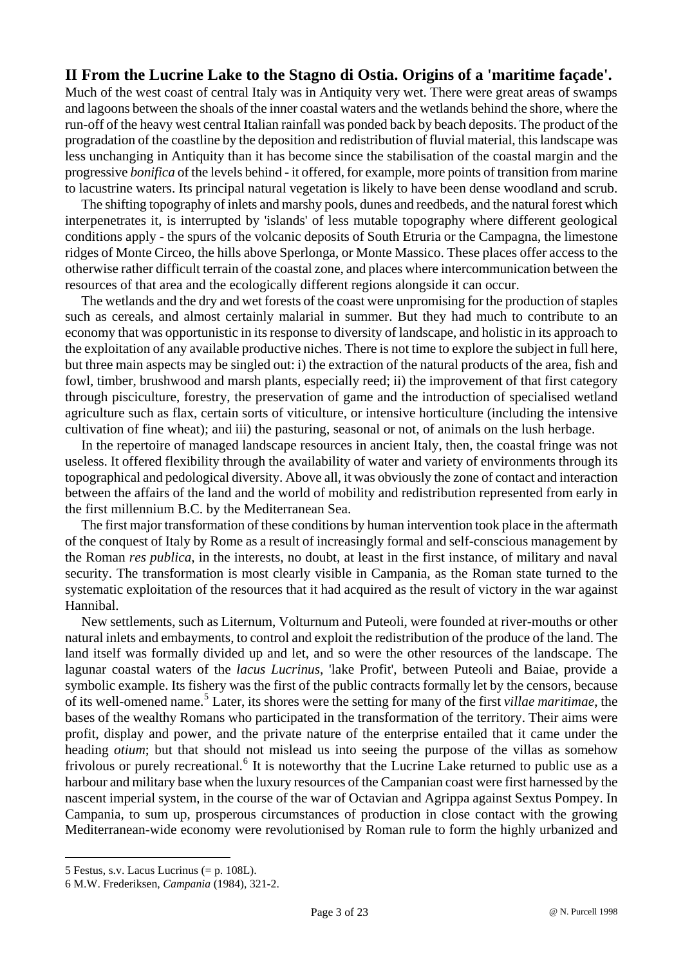# **II From the Lucrine Lake to the Stagno di Ostia. Origins of a 'maritime façade'.**

Much of the west coast of central Italy was in Antiquity very wet. There were great areas of swamps and lagoons between the shoals of the inner coastal waters and the wetlands behind the shore, where the run-off of the heavy west central Italian rainfall was ponded back by beach deposits. The product of the progradation of the coastline by the deposition and redistribution of fluvial material, this landscape was less unchanging in Antiquity than it has become since the stabilisation of the coastal margin and the progressive *bonifica* of the levels behind - it offered, for example, more points of transition from marine to lacustrine waters. Its principal natural vegetation is likely to have been dense woodland and scrub.

The shifting topography of inlets and marshy pools, dunes and reedbeds, and the natural forest which interpenetrates it, is interrupted by 'islands' of less mutable topography where different geological conditions apply - the spurs of the volcanic deposits of South Etruria or the Campagna, the limestone ridges of Monte Circeo, the hills above Sperlonga, or Monte Massico. These places offer access to the otherwise rather difficult terrain of the coastal zone, and places where intercommunication between the resources of that area and the ecologically different regions alongside it can occur.

The wetlands and the dry and wet forests of the coast were unpromising for the production of staples such as cereals, and almost certainly malarial in summer. But they had much to contribute to an economy that was opportunistic in its response to diversity of landscape, and holistic in its approach to the exploitation of any available productive niches. There is not time to explore the subject in full here, but three main aspects may be singled out: i) the extraction of the natural products of the area, fish and fowl, timber, brushwood and marsh plants, especially reed; ii) the improvement of that first category through pisciculture, forestry, the preservation of game and the introduction of specialised wetland agriculture such as flax, certain sorts of viticulture, or intensive horticulture (including the intensive cultivation of fine wheat); and iii) the pasturing, seasonal or not, of animals on the lush herbage.

In the repertoire of managed landscape resources in ancient Italy, then, the coastal fringe was not useless. It offered flexibility through the availability of water and variety of environments through its topographical and pedological diversity. Above all, it was obviously the zone of contact and interaction between the affairs of the land and the world of mobility and redistribution represented from early in the first millennium B.C. by the Mediterranean Sea.

The first major transformation of these conditions by human intervention took place in the aftermath of the conquest of Italy by Rome as a result of increasingly formal and self-conscious management by the Roman *res publica*, in the interests, no doubt, at least in the first instance, of military and naval security. The transformation is most clearly visible in Campania, as the Roman state turned to the systematic exploitation of the resources that it had acquired as the result of victory in the war against Hannibal.

New settlements, such as Liternum, Volturnum and Puteoli, were founded at river-mouths or other natural inlets and embayments, to control and exploit the redistribution of the produce of the land. The land itself was formally divided up and let, and so were the other resources of the landscape. The lagunar coastal waters of the *lacus Lucrinus*, 'lake Profit', between Puteoli and Baiae, provide a symbolic example. Its fishery was the first of the public contracts formally let by the censors, because of its well-omened name.[5](#page-2-0) Later, its shores were the setting for many of the first *villae maritimae*, the bases of the wealthy Romans who participated in the transformation of the territory. Their aims were profit, display and power, and the private nature of the enterprise entailed that it came under the heading *otium*; but that should not mislead us into seeing the purpose of the villas as somehow frivolous or purely recreational.<sup>[6](#page-2-1)</sup> It is noteworthy that the Lucrine Lake returned to public use as a harbour and military base when the luxury resources of the Campanian coast were first harnessed by the nascent imperial system, in the course of the war of Octavian and Agrippa against Sextus Pompey. In Campania, to sum up, prosperous circumstances of production in close contact with the growing Mediterranean-wide economy were revolutionised by Roman rule to form the highly urbanized and

<span id="page-2-0"></span><sup>5</sup> Festus, s.v. Lacus Lucrinus (= p. 108L).

<span id="page-2-1"></span><sup>6</sup> M.W. Frederiksen, *Campania* (1984), 321-2.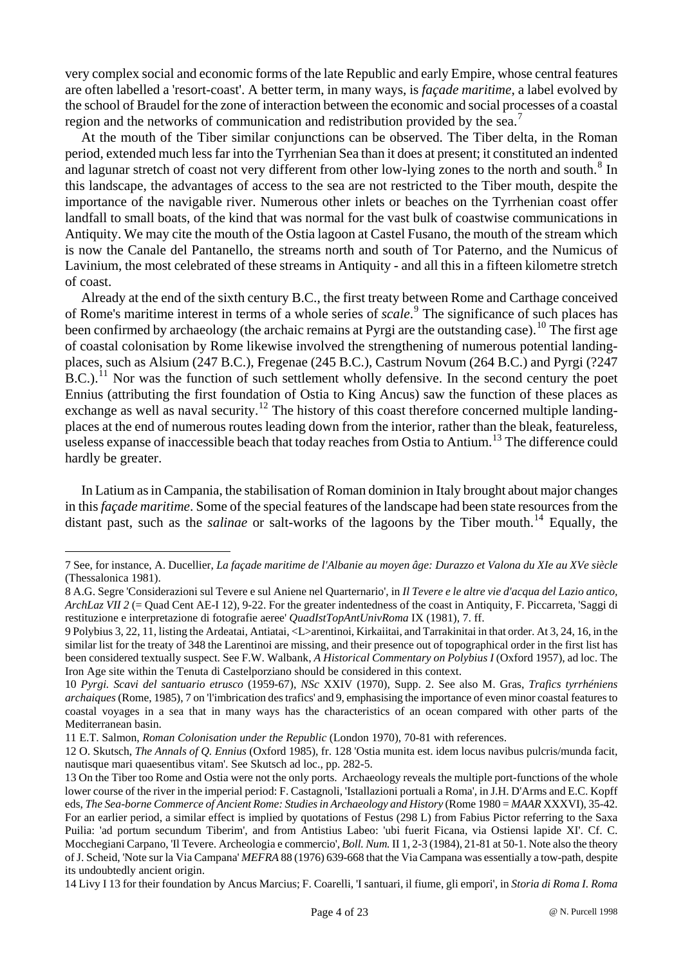very complex social and economic forms of the late Republic and early Empire, whose central features are often labelled a 'resort-coast'. A better term, in many ways, is *façade maritime*, a label evolved by the school of Braudel for the zone of interaction between the economic and social processes of a coastal region and the networks of communication and redistribution provided by the sea.<sup>[7](#page-3-0)</sup>

At the mouth of the Tiber similar conjunctions can be observed. The Tiber delta, in the Roman period, extended much less far into the Tyrrhenian Sea than it does at present; it constituted an indented and lagunar stretch of coast not very different from other low-lying zones to the north and south.<sup>[8](#page-3-1)</sup> In this landscape, the advantages of access to the sea are not restricted to the Tiber mouth, despite the importance of the navigable river. Numerous other inlets or beaches on the Tyrrhenian coast offer landfall to small boats, of the kind that was normal for the vast bulk of coastwise communications in Antiquity. We may cite the mouth of the Ostia lagoon at Castel Fusano, the mouth of the stream which is now the Canale del Pantanello, the streams north and south of Tor Paterno, and the Numicus of Lavinium, the most celebrated of these streams in Antiquity - and all this in a fifteen kilometre stretch of coast.

Already at the end of the sixth century B.C., the first treaty between Rome and Carthage conceived of Rome's maritime interest in terms of a whole series of *scale*. [9](#page-3-2) The significance of such places has been confirmed by archaeology (the archaic remains at Pyrgi are the outstanding case).<sup>[10](#page-3-3)</sup> The first age of coastal colonisation by Rome likewise involved the strengthening of numerous potential landingplaces, such as Alsium (247 B.C.), Fregenae (245 B.C.), Castrum Novum (264 B.C.) and Pyrgi (?247 B.C.).<sup>[11](#page-3-4)</sup> Nor was the function of such settlement wholly defensive. In the second century the poet Ennius (attributing the first foundation of Ostia to King Ancus) saw the function of these places as exchange as well as naval security.<sup>[12](#page-3-5)</sup> The history of this coast therefore concerned multiple landingplaces at the end of numerous routes leading down from the interior, rather than the bleak, featureless, useless expanse of inaccessible beach that today reaches from Ostia to Antium.<sup>[13](#page-3-6)</sup> The difference could hardly be greater.

In Latium as in Campania, the stabilisation of Roman dominion in Italy brought about major changes in this *façade maritime*. Some of the special features of the landscape had been state resources from the distant past, such as the *salinae* or salt-works of the lagoons by the Tiber mouth.<sup>[14](#page-3-7)</sup> Equally, the

<span id="page-3-0"></span><sup>7</sup> See, for instance, A. Ducellier, *La façade maritime de l'Albanie au moyen âge: Durazzo et Valona du XIe au XVe siècle* (Thessalonica 1981).

<span id="page-3-1"></span><sup>8</sup> A.G. Segre 'Considerazioni sul Tevere e sul Aniene nel Quarternario', in *Il Tevere e le altre vie d'acqua del Lazio antico, ArchLaz VII 2* (= Quad Cent AE-I 12), 9-22. For the greater indentedness of the coast in Antiquity, F. Piccarreta, 'Saggi di restituzione e interpretazione di fotografie aeree' *QuadIstTopAntUnivRoma* IX (1981), 7. ff.

<span id="page-3-2"></span><sup>9</sup> Polybius 3, 22, 11, listing the Ardeatai, Antiatai, <L>arentinoi, Kirkaiitai, and Tarrakinitai in that order. At 3, 24, 16, in the similar list for the treaty of 348 the Larentinoi are missing, and their presence out of topographical order in the first list has been considered textually suspect. See F.W. Walbank, *A Historical Commentary on Polybius I* (Oxford 1957), ad loc. The Iron Age site within the Tenuta di Castelporziano should be considered in this context.

<span id="page-3-3"></span><sup>10</sup> *Pyrgi. Scavi del santuario etrusco* (1959-67), *NSc* XXIV (1970), Supp. 2. See also M. Gras, *Trafics tyrrhéniens archaiques* (Rome, 1985), 7 on 'l'imbrication des trafics' and 9, emphasising the importance of even minor coastal features to coastal voyages in a sea that in many ways has the characteristics of an ocean compared with other parts of the Mediterranean basin.

<span id="page-3-4"></span><sup>11</sup> E.T. Salmon, *Roman Colonisation under the Republic* (London 1970), 70-81 with references.

<span id="page-3-5"></span><sup>12</sup> O. Skutsch, *The Annals of Q. Ennius* (Oxford 1985), fr. 128 'Ostia munita est. idem locus navibus pulcris/munda facit, nautisque mari quaesentibus vitam'. See Skutsch ad loc., pp. 282-5.

<span id="page-3-6"></span><sup>13</sup> On the Tiber too Rome and Ostia were not the only ports. Archaeology reveals the multiple port-functions of the whole lower course of the river in the imperial period: F. Castagnoli, 'Istallazioni portuali a Roma', in J.H. D'Arms and E.C. Kopff eds, *The Sea-borne Commerce of Ancient Rome: Studies in Archaeology and History* (Rome 1980 = *MAAR* XXXVI), 35-42. For an earlier period, a similar effect is implied by quotations of Festus (298 L) from Fabius Pictor referring to the Saxa Puilia: 'ad portum secundum Tiberim', and from Antistius Labeo: 'ubi fuerit Ficana, via Ostiensi lapide XI'. Cf. C. Mocchegiani Carpano, 'Il Tevere. Archeologia e commercio', *Boll. Num.* II 1, 2-3 (1984), 21-81 at 50-1. Note also the theory of J. Scheid, 'Note sur la Via Campana' *MEFRA* 88 (1976) 639-668 that the Via Campana was essentially a tow-path, despite its undoubtedly ancient origin.

<span id="page-3-7"></span><sup>14</sup> Livy I 13 for their foundation by Ancus Marcius; F. Coarelli, 'I santuari, il fiume, gli empori', in *Storia di Roma I. Roma*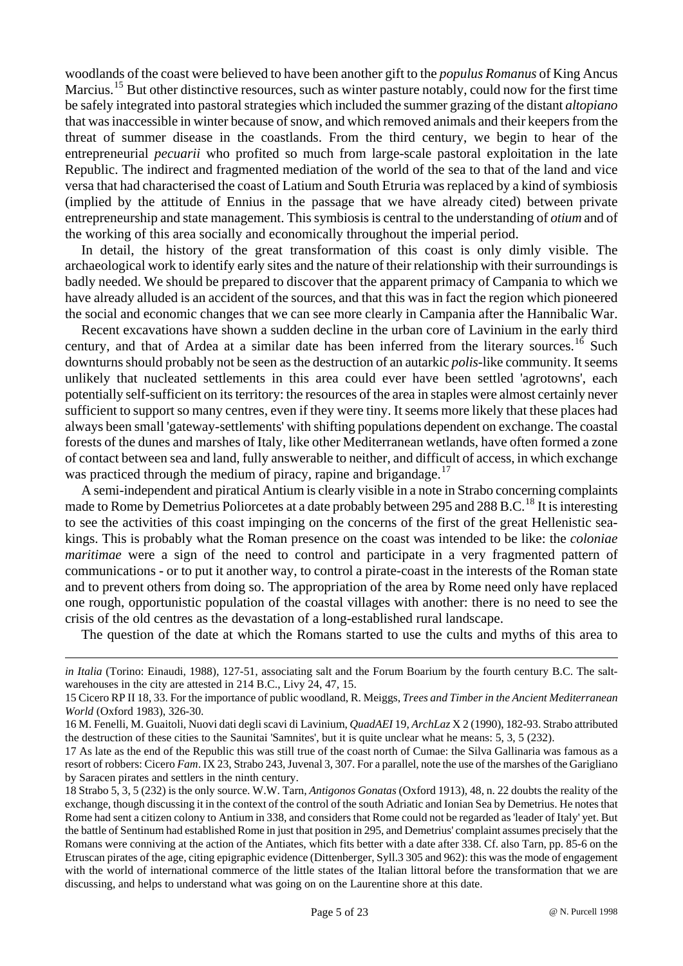woodlands of the coast were believed to have been another gift to the *populus Romanus* of King Ancus Marcius.<sup>[15](#page-4-0)</sup> But other distinctive resources, such as winter pasture notably, could now for the first time be safely integrated into pastoral strategies which included the summer grazing of the distant *altopiano* that was inaccessible in winter because of snow, and which removed animals and their keepers from the threat of summer disease in the coastlands. From the third century, we begin to hear of the entrepreneurial *pecuarii* who profited so much from large-scale pastoral exploitation in the late Republic. The indirect and fragmented mediation of the world of the sea to that of the land and vice versa that had characterised the coast of Latium and South Etruria was replaced by a kind of symbiosis (implied by the attitude of Ennius in the passage that we have already cited) between private entrepreneurship and state management. This symbiosis is central to the understanding of *otium* and of the working of this area socially and economically throughout the imperial period.

In detail, the history of the great transformation of this coast is only dimly visible. The archaeological work to identify early sites and the nature of their relationship with their surroundings is badly needed. We should be prepared to discover that the apparent primacy of Campania to which we have already alluded is an accident of the sources, and that this was in fact the region which pioneered the social and economic changes that we can see more clearly in Campania after the Hannibalic War.

Recent excavations have shown a sudden decline in the urban core of Lavinium in the early third century, and that of Ardea at a similar date has been inferred from the literary sources.<sup>[16](#page-4-1)</sup> Such downturns should probably not be seen as the destruction of an autarkic *polis*-like community. It seems unlikely that nucleated settlements in this area could ever have been settled 'agrotowns', each potentially self-sufficient on its territory: the resources of the area in staples were almost certainly never sufficient to support so many centres, even if they were tiny. It seems more likely that these places had always been small 'gateway-settlements' with shifting populations dependent on exchange. The coastal forests of the dunes and marshes of Italy, like other Mediterranean wetlands, have often formed a zone of contact between sea and land, fully answerable to neither, and difficult of access, in which exchange was practiced through the medium of piracy, rapine and brigandage.<sup>[17](#page-4-2)</sup>

A semi-independent and piratical Antium is clearly visible in a note in Strabo concerning complaints made to Rome by Demetrius Poliorcetes at a date probably between 295 and 288 B.C.<sup>[18](#page-4-3)</sup> It is interesting to see the activities of this coast impinging on the concerns of the first of the great Hellenistic seakings. This is probably what the Roman presence on the coast was intended to be like: the *coloniae maritimae* were a sign of the need to control and participate in a very fragmented pattern of communications - or to put it another way, to control a pirate-coast in the interests of the Roman state and to prevent others from doing so. The appropriation of the area by Rome need only have replaced one rough, opportunistic population of the coastal villages with another: there is no need to see the crisis of the old centres as the devastation of a long-established rural landscape.

The question of the date at which the Romans started to use the cults and myths of this area to

*in Italia* (Torino: Einaudi, 1988), 127-51, associating salt and the Forum Boarium by the fourth century B.C. The saltwarehouses in the city are attested in 214 B.C., Livy 24, 47, 15.

<span id="page-4-0"></span><sup>15</sup> Cicero RP II 18, 33. For the importance of public woodland, R. Meiggs, *Trees and Timber in the Ancient Mediterranean World* (Oxford 1983), 326-30.

<span id="page-4-1"></span><sup>16</sup> M. Fenelli, M. Guaitoli, Nuovi dati degli scavi di Lavinium, *QuadAEI* 19, *ArchLaz* X 2 (1990), 182-93. Strabo attributed the destruction of these cities to the Saunitai 'Samnites', but it is quite unclear what he means: 5, 3, 5 (232).

<span id="page-4-2"></span><sup>17</sup> As late as the end of the Republic this was still true of the coast north of Cumae: the Silva Gallinaria was famous as a resort of robbers: Cicero *Fam*. IX 23, Strabo 243, Juvenal 3, 307. For a parallel, note the use of the marshes of the Garigliano by Saracen pirates and settlers in the ninth century.

<span id="page-4-3"></span><sup>18</sup> Strabo 5, 3, 5 (232) is the only source. W.W. Tarn, *Antigonos Gonatas* (Oxford 1913), 48, n. 22 doubts the reality of the exchange, though discussing it in the context of the control of the south Adriatic and Ionian Sea by Demetrius. He notes that Rome had sent a citizen colony to Antium in 338, and considers that Rome could not be regarded as 'leader of Italy' yet. But the battle of Sentinum had established Rome in just that position in 295, and Demetrius' complaint assumes precisely that the Romans were conniving at the action of the Antiates, which fits better with a date after 338. Cf. also Tarn, pp. 85-6 on the Etruscan pirates of the age, citing epigraphic evidence (Dittenberger, Syll.3 305 and 962): this was the mode of engagement with the world of international commerce of the little states of the Italian littoral before the transformation that we are discussing, and helps to understand what was going on on the Laurentine shore at this date.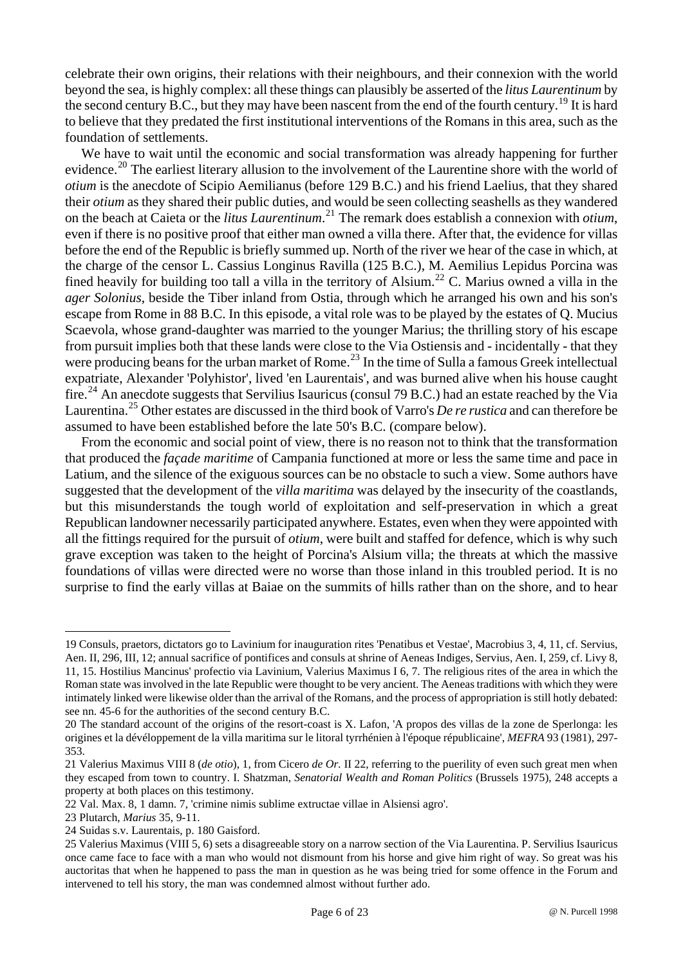celebrate their own origins, their relations with their neighbours, and their connexion with the world beyond the sea, is highly complex: all these things can plausibly be asserted of the *litus Laurentinum* by the second century B.C., but they may have been nascent from the end of the fourth century.<sup>[19](#page-5-0)</sup> It is hard to believe that they predated the first institutional interventions of the Romans in this area, such as the foundation of settlements.

We have to wait until the economic and social transformation was already happening for further evidence.<sup>[20](#page-5-1)</sup> The earliest literary allusion to the involvement of the Laurentine shore with the world of *otium* is the anecdote of Scipio Aemilianus (before 129 B.C.) and his friend Laelius, that they shared their *otium* as they shared their public duties, and would be seen collecting seashells as they wandered on the beach at Caieta or the *litus Laurentinum*. [21](#page-5-2) The remark does establish a connexion with *otium*, even if there is no positive proof that either man owned a villa there. After that, the evidence for villas before the end of the Republic is briefly summed up. North of the river we hear of the case in which, at the charge of the censor L. Cassius Longinus Ravilla (125 B.C.), M. Aemilius Lepidus Porcina was fined heavily for building too tall a villa in the territory of Alsium.<sup>[22](#page-5-3)</sup> C. Marius owned a villa in the *ager Solonius*, beside the Tiber inland from Ostia, through which he arranged his own and his son's escape from Rome in 88 B.C. In this episode, a vital role was to be played by the estates of Q. Mucius Scaevola, whose grand-daughter was married to the younger Marius; the thrilling story of his escape from pursuit implies both that these lands were close to the Via Ostiensis and - incidentally - that they were producing beans for the urban market of Rome.<sup>[23](#page-5-4)</sup> In the time of Sulla a famous Greek intellectual expatriate, Alexander 'Polyhistor', lived 'en Laurentais', and was burned alive when his house caught fire.<sup>[24](#page-5-5)</sup> An anecdote suggests that Servilius Isauricus (consul 79 B.C.) had an estate reached by the Via Laurentina.[25](#page-5-6) Other estates are discussed in the third book of Varro's *De re rustica* and can therefore be assumed to have been established before the late 50's B.C. (compare below).

From the economic and social point of view, there is no reason not to think that the transformation that produced the *façade maritime* of Campania functioned at more or less the same time and pace in Latium, and the silence of the exiguous sources can be no obstacle to such a view. Some authors have suggested that the development of the *villa maritima* was delayed by the insecurity of the coastlands, but this misunderstands the tough world of exploitation and self-preservation in which a great Republican landowner necessarily participated anywhere. Estates, even when they were appointed with all the fittings required for the pursuit of *otium*, were built and staffed for defence, which is why such grave exception was taken to the height of Porcina's Alsium villa; the threats at which the massive foundations of villas were directed were no worse than those inland in this troubled period. It is no surprise to find the early villas at Baiae on the summits of hills rather than on the shore, and to hear

<span id="page-5-0"></span><sup>19</sup> Consuls, praetors, dictators go to Lavinium for inauguration rites 'Penatibus et Vestae', Macrobius 3, 4, 11, cf. Servius, Aen. II, 296, III, 12; annual sacrifice of pontifices and consuls at shrine of Aeneas Indiges, Servius, Aen. I, 259, cf. Livy 8, 11, 15. Hostilius Mancinus' profectio via Lavinium, Valerius Maximus I 6, 7. The religious rites of the area in which the Roman state was involved in the late Republic were thought to be very ancient. The Aeneas traditions with which they were intimately linked were likewise older than the arrival of the Romans, and the process of appropriation is still hotly debated: see nn. 45-6 for the authorities of the second century B.C.

<span id="page-5-1"></span><sup>20</sup> The standard account of the origins of the resort-coast is X. Lafon, 'A propos des villas de la zone de Sperlonga: les origines et la dévéloppement de la villa maritima sur le litoral tyrrhénien à l'époque républicaine', *MEFRA* 93 (1981), 297- 353.

<span id="page-5-2"></span><sup>21</sup> Valerius Maximus VIII 8 (*de otio*), 1, from Cicero *de Or.* II 22, referring to the puerility of even such great men when they escaped from town to country. I. Shatzman, *Senatorial Wealth and Roman Politics* (Brussels 1975), 248 accepts a property at both places on this testimony.

<span id="page-5-3"></span><sup>22</sup> Val. Max. 8, 1 damn. 7, 'crimine nimis sublime extructae villae in Alsiensi agro'.

<span id="page-5-4"></span><sup>23</sup> Plutarch, *Marius* 35, 9-11.

<span id="page-5-5"></span><sup>24</sup> Suidas s.v. Laurentais, p. 180 Gaisford.

<span id="page-5-6"></span><sup>25</sup> Valerius Maximus (VIII 5, 6) sets a disagreeable story on a narrow section of the Via Laurentina. P. Servilius Isauricus once came face to face with a man who would not dismount from his horse and give him right of way. So great was his auctoritas that when he happened to pass the man in question as he was being tried for some offence in the Forum and intervened to tell his story, the man was condemned almost without further ado.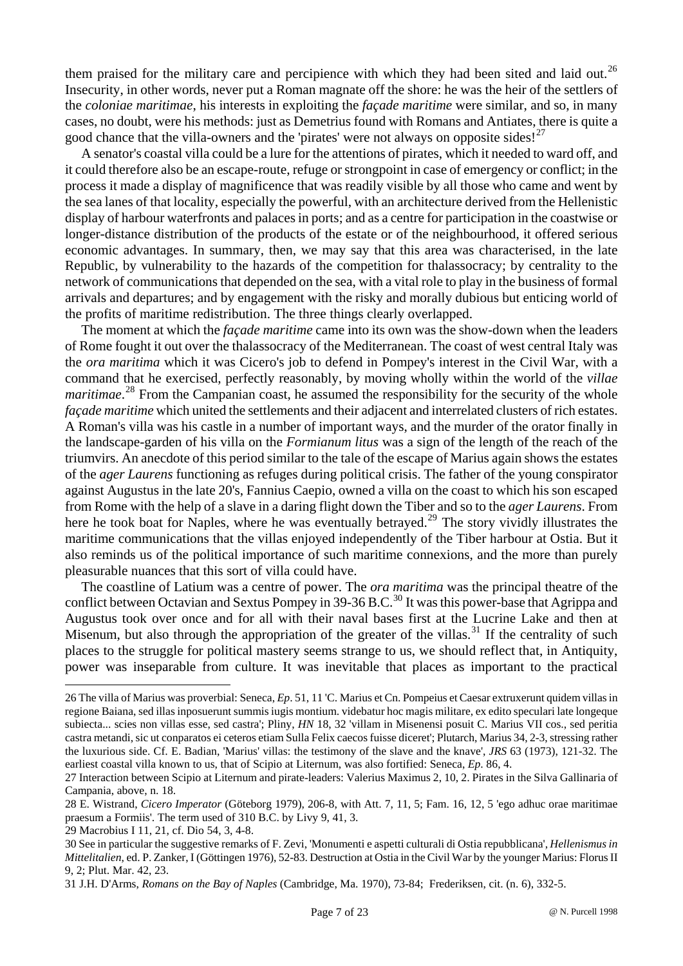them praised for the military care and percipience with which they had been sited and laid out.<sup>[26](#page-6-0)</sup> Insecurity, in other words, never put a Roman magnate off the shore: he was the heir of the settlers of the *coloniae maritimae*, his interests in exploiting the *façade maritime* were similar, and so, in many cases, no doubt, were his methods: just as Demetrius found with Romans and Antiates, there is quite a good chance that the villa-owners and the 'pirates' were not always on opposite sides!<sup>[27](#page-6-1)</sup>

A senator's coastal villa could be a lure for the attentions of pirates, which it needed to ward off, and it could therefore also be an escape-route, refuge or strongpoint in case of emergency or conflict; in the process it made a display of magnificence that was readily visible by all those who came and went by the sea lanes of that locality, especially the powerful, with an architecture derived from the Hellenistic display of harbour waterfronts and palaces in ports; and as a centre for participation in the coastwise or longer-distance distribution of the products of the estate or of the neighbourhood, it offered serious economic advantages. In summary, then, we may say that this area was characterised, in the late Republic, by vulnerability to the hazards of the competition for thalassocracy; by centrality to the network of communications that depended on the sea, with a vital role to play in the business of formal arrivals and departures; and by engagement with the risky and morally dubious but enticing world of the profits of maritime redistribution. The three things clearly overlapped.

The moment at which the *façade maritime* came into its own was the show-down when the leaders of Rome fought it out over the thalassocracy of the Mediterranean. The coast of west central Italy was the *ora maritima* which it was Cicero's job to defend in Pompey's interest in the Civil War, with a command that he exercised, perfectly reasonably, by moving wholly within the world of the *villae*  maritimae.<sup>[28](#page-6-2)</sup> From the Campanian coast, he assumed the responsibility for the security of the whole *façade maritime* which united the settlements and their adjacent and interrelated clusters of rich estates. A Roman's villa was his castle in a number of important ways, and the murder of the orator finally in the landscape-garden of his villa on the *Formianum litus* was a sign of the length of the reach of the triumvirs. An anecdote of this period similar to the tale of the escape of Marius again shows the estates of the *ager Laurens* functioning as refuges during political crisis. The father of the young conspirator against Augustus in the late 20's, Fannius Caepio, owned a villa on the coast to which his son escaped from Rome with the help of a slave in a daring flight down the Tiber and so to the *ager Laurens*. From here he took boat for Naples, where he was eventually betrayed.<sup>[29](#page-6-3)</sup> The story vividly illustrates the maritime communications that the villas enjoyed independently of the Tiber harbour at Ostia. But it also reminds us of the political importance of such maritime connexions, and the more than purely pleasurable nuances that this sort of villa could have.

The coastline of Latium was a centre of power. The *ora maritima* was the principal theatre of the conflict between Octavian and Sextus Pompey in 39-36 B.C.<sup>[30](#page-6-4)</sup> It was this power-base that Agrippa and Augustus took over once and for all with their naval bases first at the Lucrine Lake and then at Misenum, but also through the appropriation of the greater of the villas.<sup>[31](#page-6-5)</sup> If the centrality of such places to the struggle for political mastery seems strange to us, we should reflect that, in Antiquity, power was inseparable from culture. It was inevitable that places as important to the practical

<span id="page-6-3"></span>29 Macrobius I 11, 21, cf. Dio 54, 3, 4-8.

<span id="page-6-0"></span><sup>26</sup> The villa of Marius was proverbial: Seneca, *Ep.* 51, 11 'C. Marius et Cn. Pompeius et Caesar extruxerunt quidem villas in regione Baiana, sed illas inposuerunt summis iugis montium. videbatur hoc magis militare, ex edito speculari late longeque subiecta... scies non villas esse, sed castra'; Pliny, *HN* 18, 32 'villam in Misenensi posuit C. Marius VII cos., sed peritia castra metandi, sic ut conparatos ei ceteros etiam Sulla Felix caecos fuisse diceret'; Plutarch, Marius 34, 2-3, stressing rather the luxurious side. Cf. E. Badian, 'Marius' villas: the testimony of the slave and the knave', *JRS* 63 (1973), 121-32. The earliest coastal villa known to us, that of Scipio at Liternum, was also fortified: Seneca, *Ep*. 86, 4.

<span id="page-6-1"></span><sup>27</sup> Interaction between Scipio at Liternum and pirate-leaders: Valerius Maximus 2, 10, 2. Pirates in the Silva Gallinaria of Campania, above, n. 18.

<span id="page-6-2"></span><sup>28</sup> E. Wistrand, *Cicero Imperator* (Göteborg 1979), 206-8, with Att. 7, 11, 5; Fam. 16, 12, 5 'ego adhuc orae maritimae praesum a Formiis'. The term used of 310 B.C. by Livy 9, 41, 3.

<span id="page-6-4"></span><sup>30</sup> See in particular the suggestive remarks of F. Zevi, 'Monumenti e aspetti culturali di Ostia repubblicana', *Hellenismus in Mittelitalien*, ed. P. Zanker, I (Göttingen 1976), 52-83. Destruction at Ostia in the Civil War by the younger Marius: Florus II 9, 2; Plut. Mar. 42, 23.

<span id="page-6-5"></span><sup>31</sup> J.H. D'Arms, *Romans on the Bay of Naples* (Cambridge, Ma. 1970), 73-84; Frederiksen, cit. (n. 6), 332-5.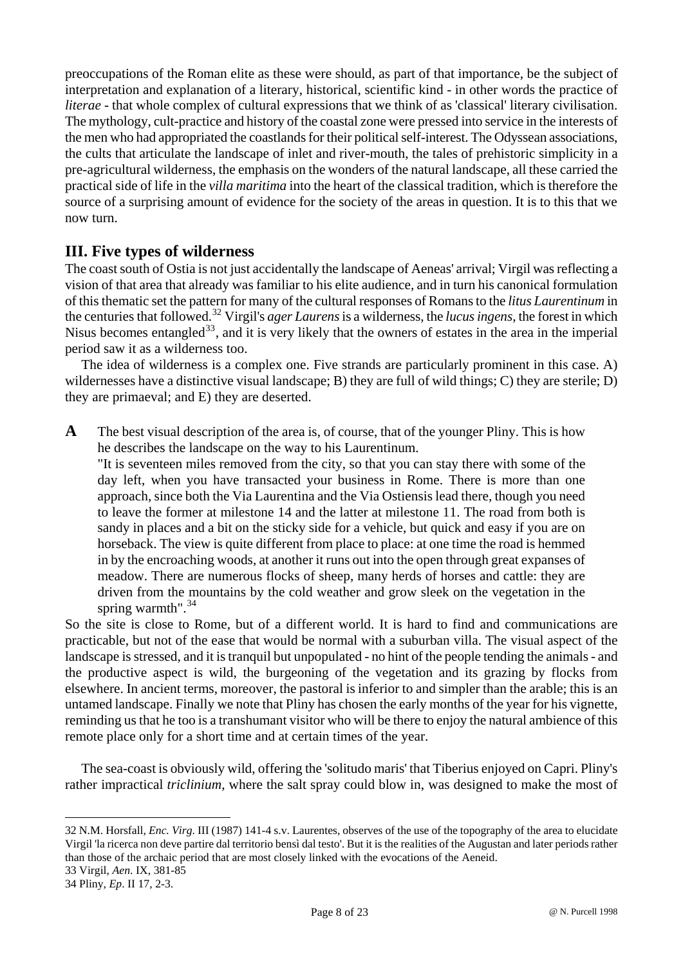preoccupations of the Roman elite as these were should, as part of that importance, be the subject of interpretation and explanation of a literary, historical, scientific kind - in other words the practice of *literae* - that whole complex of cultural expressions that we think of as 'classical' literary civilisation. The mythology, cult-practice and history of the coastal zone were pressed into service in the interests of the men who had appropriated the coastlands for their political self-interest. The Odyssean associations, the cults that articulate the landscape of inlet and river-mouth, the tales of prehistoric simplicity in a pre-agricultural wilderness, the emphasis on the wonders of the natural landscape, all these carried the practical side of life in the *villa maritima* into the heart of the classical tradition, which is therefore the source of a surprising amount of evidence for the society of the areas in question. It is to this that we now turn.

# **III. Five types of wilderness**

The coast south of Ostia is not just accidentally the landscape of Aeneas' arrival; Virgil was reflecting a vision of that area that already was familiar to his elite audience, and in turn his canonical formulation of this thematic set the pattern for many of the cultural responses of Romans to the *litus Laurentinum* in the centuries that followed.[32](#page-7-0) Virgil's *ager Laurens* is a wilderness, the *lucus ingens*, the forest in which Nisus becomes entangled<sup>33</sup>, and it is very likely that the owners of estates in the area in the imperial period saw it as a wilderness too.

The idea of wilderness is a complex one. Five strands are particularly prominent in this case. A) wildernesses have a distinctive visual landscape; B) they are full of wild things; C) they are sterile; D) they are primaeval; and E) they are deserted.

**A** The best visual description of the area is, of course, that of the younger Pliny. This is how he describes the landscape on the way to his Laurentinum.

"It is seventeen miles removed from the city, so that you can stay there with some of the day left, when you have transacted your business in Rome. There is more than one approach, since both the Via Laurentina and the Via Ostiensis lead there, though you need to leave the former at milestone 14 and the latter at milestone 11. The road from both is sandy in places and a bit on the sticky side for a vehicle, but quick and easy if you are on horseback. The view is quite different from place to place: at one time the road is hemmed in by the encroaching woods, at another it runs out into the open through great expanses of meadow. There are numerous flocks of sheep, many herds of horses and cattle: they are driven from the mountains by the cold weather and grow sleek on the vegetation in the spring warmth". $^{34}$  $^{34}$  $^{34}$ 

So the site is close to Rome, but of a different world. It is hard to find and communications are practicable, but not of the ease that would be normal with a suburban villa. The visual aspect of the landscape is stressed, and it is tranquil but unpopulated - no hint of the people tending the animals - and the productive aspect is wild, the burgeoning of the vegetation and its grazing by flocks from elsewhere. In ancient terms, moreover, the pastoral is inferior to and simpler than the arable; this is an untamed landscape. Finally we note that Pliny has chosen the early months of the year for his vignette, reminding us that he too is a transhumant visitor who will be there to enjoy the natural ambience of this remote place only for a short time and at certain times of the year.

The sea-coast is obviously wild, offering the 'solitudo maris' that Tiberius enjoyed on Capri. Pliny's rather impractical *triclinium*, where the salt spray could blow in, was designed to make the most of

<span id="page-7-0"></span><sup>32</sup> N.M. Horsfall, *Enc. Virg*. III (1987) 141-4 s.v. Laurentes, observes of the use of the topography of the area to elucidate Virgil 'la ricerca non deve partire dal territorio bensì dal testo'. But it is the realities of the Augustan and later periods rather than those of the archaic period that are most closely linked with the evocations of the Aeneid.

<span id="page-7-1"></span><sup>33</sup> Virgil, *Aen*. IX, 381-85

<span id="page-7-2"></span><sup>34</sup> Pliny, *Ep*. II 17, 2-3.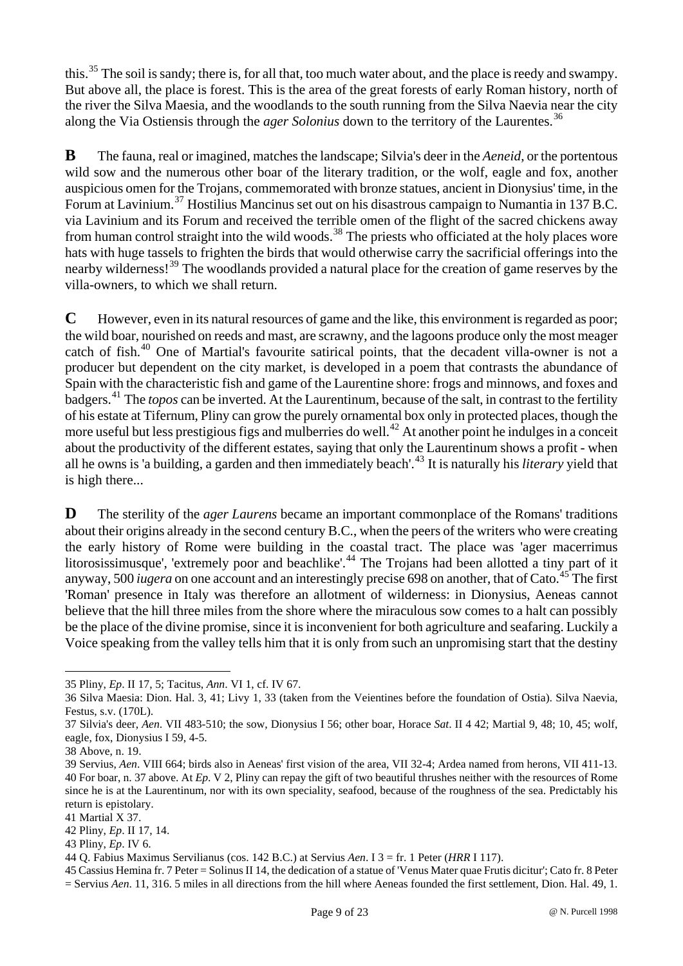this.<sup>[35](#page-8-0)</sup> The soil is sandy; there is, for all that, too much water about, and the place is reedy and swampy. But above all, the place is forest. This is the area of the great forests of early Roman history, north of the river the Silva Maesia, and the woodlands to the south running from the Silva Naevia near the city along the Via Ostiensis through the *ager Solonius* down to the territory of the Laurentes.<sup>[36](#page-8-1)</sup>

**B** The fauna, real or imagined, matches the landscape; Silvia's deer in the *Aeneid*, or the portentous wild sow and the numerous other boar of the literary tradition, or the wolf, eagle and fox, another auspicious omen for the Trojans, commemorated with bronze statues, ancient in Dionysius' time, in the Forum at Lavinium.[37](#page-8-2) Hostilius Mancinus set out on his disastrous campaign to Numantia in 137 B.C. via Lavinium and its Forum and received the terrible omen of the flight of the sacred chickens away from human control straight into the wild woods.<sup>[38](#page-8-3)</sup> The priests who officiated at the holy places wore hats with huge tassels to frighten the birds that would otherwise carry the sacrificial offerings into the nearby wilderness![39](#page-8-4) The woodlands provided a natural place for the creation of game reserves by the villa-owners, to which we shall return.

is high there... **C** However, even in its natural resources of game and the like, this environment is regarded as poor; the wild boar, nourished on reeds and mast, are scrawny, and the lagoons produce only the most meager catch of fish.<sup>[40](#page-8-5)</sup> One of Martial's favourite satirical points, that the decadent villa-owner is not a producer but dependent on the city market, is developed in a poem that contrasts the abundance of Spain with the characteristic fish and game of the Laurentine shore: frogs and minnows, and foxes and badgers.[41](#page-8-6) The *topos* can be inverted. At the Laurentinum, because of the salt, in contrast to the fertility of his estate at Tifernum, Pliny can grow the purely ornamental box only in protected places, though the more useful but less prestigious figs and mulberries do well.<sup>[42](#page-8-7)</sup> At another point he indulges in a conceit about the productivity of the different estates, saying that only the Laurentinum shows a profit - when all he owns is 'a building, a garden and then immediately beach'.[43](#page-8-8) It is naturally his *literary* yield that

**D** The sterility of the *ager Laurens* became an important commonplace of the Romans' traditions about their origins already in the second century B.C., when the peers of the writers who were creating the early history of Rome were building in the coastal tract. The place was 'ager macerrimus litorosissimusque', 'extremely poor and beachlike'.<sup>[44](#page-8-9)</sup> The Trojans had been allotted a tiny part of it anyway, 500 *iugera* on one account and an interestingly precise 698 on another, that of Cato.<sup>[45](#page-8-10)</sup> The first 'Roman' presence in Italy was therefore an allotment of wilderness: in Dionysius, Aeneas cannot believe that the hill three miles from the shore where the miraculous sow comes to a halt can possibly be the place of the divine promise, since it is inconvenient for both agriculture and seafaring. Luckily a Voice speaking from the valley tells him that it is only from such an unpromising start that the destiny

<span id="page-8-0"></span><sup>35</sup> Pliny, *Ep*. II 17, 5; Tacitus, *Ann*. VI 1, cf. IV 67.

<span id="page-8-1"></span><sup>36</sup> Silva Maesia: Dion. Hal. 3, 41; Livy 1, 33 (taken from the Veientines before the foundation of Ostia). Silva Naevia, Festus, s.v. (170L).

<span id="page-8-2"></span><sup>37</sup> Silvia's deer, *Aen*. VII 483-510; the sow, Dionysius I 56; other boar, Horace *Sat*. II 4 42; Martial 9, 48; 10, 45; wolf, eagle, fox, Dionysius I 59, 4-5.

<span id="page-8-3"></span><sup>38</sup> Above, n. 19.

<span id="page-8-5"></span><span id="page-8-4"></span><sup>39</sup> Servius, *Aen*. VIII 664; birds also in Aeneas' first vision of the area, VII 32-4; Ardea named from herons, VII 411-13. 40 For boar, n. 37 above. At *Ep*. V 2, Pliny can repay the gift of two beautiful thrushes neither with the resources of Rome since he is at the Laurentinum, nor with its own speciality, seafood, because of the roughness of the sea. Predictably his return is epistolary.

<span id="page-8-6"></span><sup>41</sup> Martial X 37.

<span id="page-8-7"></span><sup>42</sup> Pliny, *Ep*. II 17, 14.

<span id="page-8-8"></span><sup>43</sup> Pliny, *Ep*. IV 6.

<span id="page-8-9"></span><sup>44</sup> Q. Fabius Maximus Servilianus (cos. 142 B.C.) at Servius *Aen*. I 3 = fr. 1 Peter (*HRR* I 117).

<span id="page-8-10"></span><sup>45</sup> Cassius Hemina fr. 7 Peter = Solinus II 14, the dedication of a statue of 'Venus Mater quae Frutis dicitur'; Cato fr. 8 Peter = Servius *Aen*. 11, 316. 5 miles in all directions from the hill where Aeneas founded the first settlement, Dion. Hal. 49, 1.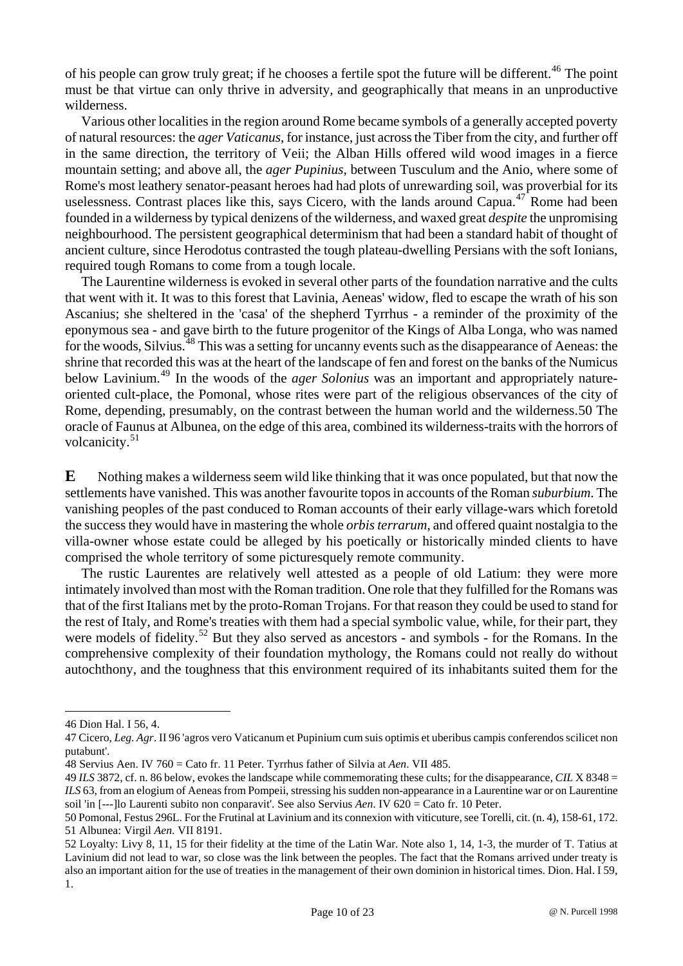of his people can grow truly great; if he chooses a fertile spot the future will be different.<sup>[46](#page-9-0)</sup> The point must be that virtue can only thrive in adversity, and geographically that means in an unproductive wilderness.

Various other localities in the region around Rome became symbols of a generally accepted poverty of natural resources: the *ager Vaticanus*, for instance, just across the Tiber from the city, and further off in the same direction, the territory of Veii; the Alban Hills offered wild wood images in a fierce mountain setting; and above all, the *ager Pupinius*, between Tusculum and the Anio, where some of Rome's most leathery senator-peasant heroes had had plots of unrewarding soil, was proverbial for its uselessness. Contrast places like this, says Cicero, with the lands around Capua.<sup>[47](#page-9-1)</sup> Rome had been founded in a wilderness by typical denizens of the wilderness, and waxed great *despite* the unpromising neighbourhood. The persistent geographical determinism that had been a standard habit of thought of ancient culture, since Herodotus contrasted the tough plateau-dwelling Persians with the soft Ionians, required tough Romans to come from a tough locale.

The Laurentine wilderness is evoked in several other parts of the foundation narrative and the cults that went with it. It was to this forest that Lavinia, Aeneas' widow, fled to escape the wrath of his son Ascanius; she sheltered in the 'casa' of the shepherd Tyrrhus - a reminder of the proximity of the eponymous sea - and gave birth to the future progenitor of the Kings of Alba Longa, who was named for the woods, Silvius.<sup>[48](#page-9-2)</sup> This was a setting for uncanny events such as the disappearance of Aeneas: the shrine that recorded this was at the heart of the landscape of fen and forest on the banks of the Numicus below Lavinium.[49](#page-9-3) In the woods of the *ager Solonius* was an important and appropriately natureoriented cult-place, the Pomonal, whose rites were part of the religious observances of the city of Rome, depending, presumably, on the contrast between the human world and the wilderness[.50](#page-9-4) The oracle of Faunus at Albunea, on the edge of this area, combined its wilderness-traits with the horrors of volcanicity.<sup>[51](#page-9-5)</sup>

**E** Nothing makes a wilderness seem wild like thinking that it was once populated, but that now the settlements have vanished. This was another favourite topos in accounts of the Roman *suburbium*. The vanishing peoples of the past conduced to Roman accounts of their early village-wars which foretold the success they would have in mastering the whole *orbis terrarum*, and offered quaint nostalgia to the villa-owner whose estate could be alleged by his poetically or historically minded clients to have comprised the whole territory of some picturesquely remote community.

The rustic Laurentes are relatively well attested as a people of old Latium: they were more intimately involved than most with the Roman tradition. One role that they fulfilled for the Romans was that of the first Italians met by the proto-Roman Trojans. For that reason they could be used to stand for the rest of Italy, and Rome's treaties with them had a special symbolic value, while, for their part, they were models of fidelity.<sup>[52](#page-9-6)</sup> But they also served as ancestors - and symbols - for the Romans. In the comprehensive complexity of their foundation mythology, the Romans could not really do without autochthony, and the toughness that this environment required of its inhabitants suited them for the

<span id="page-9-0"></span><sup>46</sup> Dion Hal. I 56, 4.

<span id="page-9-1"></span><sup>47</sup> Cicero, *Leg. Agr*. II 96 'agros vero Vaticanum et Pupinium cum suis optimis et uberibus campis conferendos scilicet non putabunt'.

<span id="page-9-2"></span><sup>48</sup> Servius Aen. IV 760 = Cato fr. 11 Peter. Tyrrhus father of Silvia at *Aen*. VII 485.

<span id="page-9-3"></span><sup>49</sup> *ILS* 3872, cf. n. 86 below, evokes the landscape while commemorating these cults; for the disappearance, *CIL* X 8348 = *ILS* 63, from an elogium of Aeneas from Pompeii, stressing his sudden non-appearance in a Laurentine war or on Laurentine soil 'in [---]lo Laurenti subito non conparavit'. See also Servius *Aen*. IV 620 = Cato fr. 10 Peter.

<span id="page-9-4"></span><sup>50</sup> Pomonal, Festus 296L. For the Frutinal at Lavinium and its connexion with viticuture, see Torelli, cit. (n. 4), 158-61, 172. 51 Albunea: Virgil *Aen*. VII 8191.

<span id="page-9-6"></span><span id="page-9-5"></span><sup>52</sup> Loyalty: Livy 8, 11, 15 for their fidelity at the time of the Latin War. Note also 1, 14, 1-3, the murder of T. Tatius at Lavinium did not lead to war, so close was the link between the peoples. The fact that the Romans arrived under treaty is also an important aition for the use of treaties in the management of their own dominion in historical times. Dion. Hal. I 59, 1.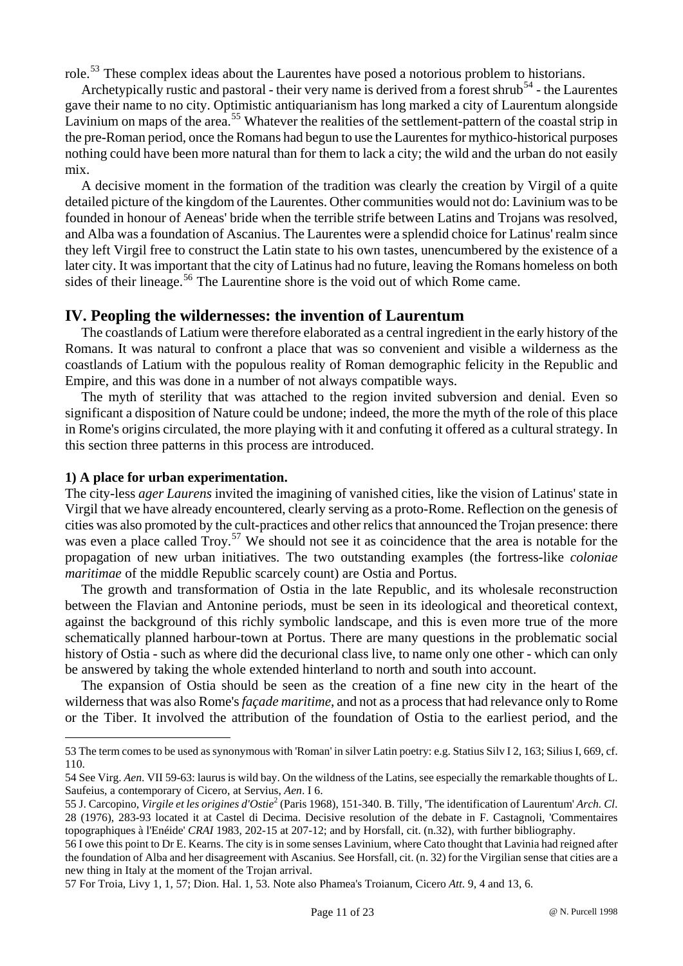role.<sup>[53](#page-10-0)</sup> These complex ideas about the Laurentes have posed a notorious problem to historians.

Archetypically rustic and pastoral - their very name is derived from a forest shrub<sup>[54](#page-10-1)</sup> - the Laurentes gave their name to no city. Optimistic antiquarianism has long marked a city of Laurentum alongside Lavinium on maps of the area.<sup>[55](#page-10-2)</sup> Whatever the realities of the settlement-pattern of the coastal strip in the pre-Roman period, once the Romans had begun to use the Laurentes for mythico-historical purposes nothing could have been more natural than for them to lack a city; the wild and the urban do not easily mix.

A decisive moment in the formation of the tradition was clearly the creation by Virgil of a quite detailed picture of the kingdom of the Laurentes. Other communities would not do: Lavinium was to be founded in honour of Aeneas' bride when the terrible strife between Latins and Trojans was resolved, and Alba was a foundation of Ascanius. The Laurentes were a splendid choice for Latinus' realm since they left Virgil free to construct the Latin state to his own tastes, unencumbered by the existence of a later city. It was important that the city of Latinus had no future, leaving the Romans homeless on both sides of their lineage.<sup>[56](#page-10-3)</sup> The Laurentine shore is the void out of which Rome came.

## **IV. Peopling the wildernesses: the invention of Laurentum**

The coastlands of Latium were therefore elaborated as a central ingredient in the early history of the Romans. It was natural to confront a place that was so convenient and visible a wilderness as the coastlands of Latium with the populous reality of Roman demographic felicity in the Republic and Empire, and this was done in a number of not always compatible ways.

The myth of sterility that was attached to the region invited subversion and denial. Even so significant a disposition of Nature could be undone; indeed, the more the myth of the role of this place in Rome's origins circulated, the more playing with it and confuting it offered as a cultural strategy. In this section three patterns in this process are introduced.

#### **1) A place for urban experimentation.**

 $\overline{a}$ 

The city-less *ager Laurens* invited the imagining of vanished cities, like the vision of Latinus' state in Virgil that we have already encountered, clearly serving as a proto-Rome. Reflection on the genesis of cities was also promoted by the cult-practices and other relics that announced the Trojan presence: there was even a place called Troy.<sup>[57](#page-10-4)</sup> We should not see it as coincidence that the area is notable for the propagation of new urban initiatives. The two outstanding examples (the fortress-like *coloniae maritimae* of the middle Republic scarcely count) are Ostia and Portus.

The growth and transformation of Ostia in the late Republic, and its wholesale reconstruction between the Flavian and Antonine periods, must be seen in its ideological and theoretical context, against the background of this richly symbolic landscape, and this is even more true of the more schematically planned harbour-town at Portus. There are many questions in the problematic social history of Ostia - such as where did the decurional class live, to name only one other - which can only be answered by taking the whole extended hinterland to north and south into account.

The expansion of Ostia should be seen as the creation of a fine new city in the heart of the wilderness that was also Rome's *façade maritime*, and not as a process that had relevance only to Rome or the Tiber. It involved the attribution of the foundation of Ostia to the earliest period, and the

<span id="page-10-0"></span><sup>53</sup> The term comes to be used as synonymous with 'Roman' in silver Latin poetry: e.g. Statius Silv I 2, 163; Silius I, 669, cf. 110.

<span id="page-10-1"></span><sup>54</sup> See Virg. *Aen*. VII 59-63: laurus is wild bay. On the wildness of the Latins, see especially the remarkable thoughts of L. Saufeius, a contemporary of Cicero, at Servius, *Aen*. I 6.

<span id="page-10-2"></span><sup>55</sup> J. Carcopino, *Virgile et les origines d'Ostie*<sup>2</sup> (Paris 1968), 151-340. B. Tilly, 'The identification of Laurentum' *Arch. Cl*. 28 (1976), 283-93 located it at Castel di Decima. Decisive resolution of the debate in F. Castagnoli, 'Commentaires topographiques à l'Enéide' *CRAI* 1983, 202-15 at 207-12; and by Horsfall, cit. (n.32), with further bibliography.

<span id="page-10-3"></span><sup>56</sup> I owe this point to Dr E. Kearns. The city is in some senses Lavinium, where Cato thought that Lavinia had reigned after the foundation of Alba and her disagreement with Ascanius. See Horsfall, cit. (n. 32) for the Virgilian sense that cities are a new thing in Italy at the moment of the Trojan arrival.

<span id="page-10-4"></span><sup>57</sup> For Troia, Livy 1, 1, 57; Dion. Hal. 1, 53. Note also Phamea's Troianum, Cicero *Att*. 9, 4 and 13, 6.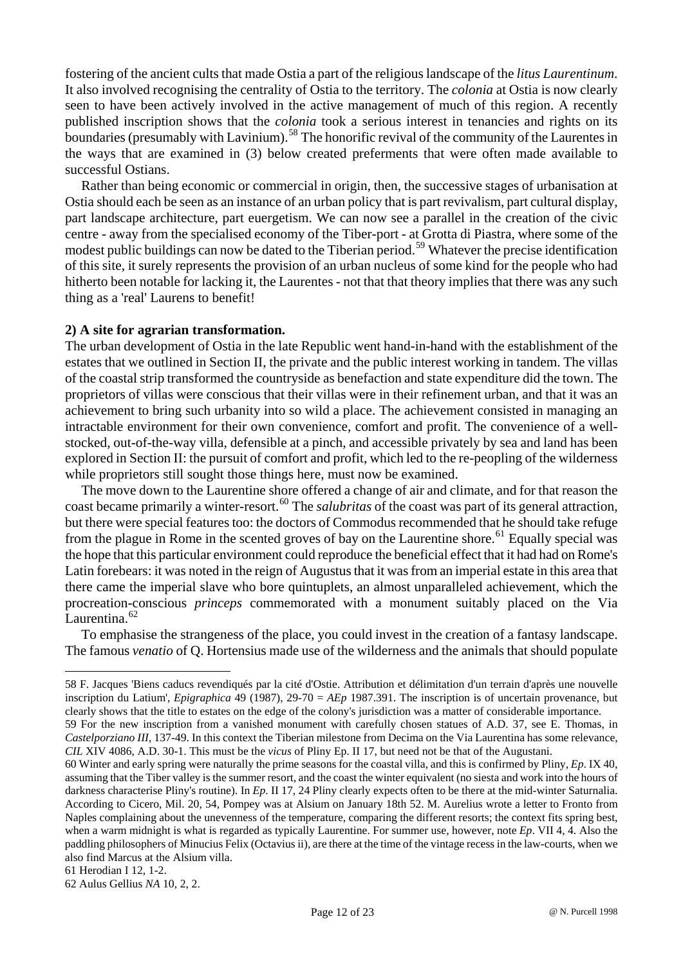fostering of the ancient cults that made Ostia a part of the religious landscape of the *litus Laurentinum*. It also involved recognising the centrality of Ostia to the territory. The *colonia* at Ostia is now clearly seen to have been actively involved in the active management of much of this region. A recently published inscription shows that the *colonia* took a serious interest in tenancies and rights on its boundaries (presumably with Lavinium).<sup>[58](#page-11-0)</sup> The honorific revival of the community of the Laurentes in the ways that are examined in (3) below created preferments that were often made available to successful Ostians.

Rather than being economic or commercial in origin, then, the successive stages of urbanisation at Ostia should each be seen as an instance of an urban policy that is part revivalism, part cultural display, part landscape architecture, part euergetism. We can now see a parallel in the creation of the civic centre - away from the specialised economy of the Tiber-port - at Grotta di Piastra, where some of the modest public buildings can now be dated to the Tiberian period.<sup>[59](#page-11-1)</sup> Whatever the precise identification of this site, it surely represents the provision of an urban nucleus of some kind for the people who had hitherto been notable for lacking it, the Laurentes - not that that theory implies that there was any such thing as a 'real' Laurens to benefit!

#### **2) A site for agrarian transformation.**

The urban development of Ostia in the late Republic went hand-in-hand with the establishment of the estates that we outlined in Section II, the private and the public interest working in tandem. The villas of the coastal strip transformed the countryside as benefaction and state expenditure did the town. The proprietors of villas were conscious that their villas were in their refinement urban, and that it was an achievement to bring such urbanity into so wild a place. The achievement consisted in managing an intractable environment for their own convenience, comfort and profit. The convenience of a wellstocked, out-of-the-way villa, defensible at a pinch, and accessible privately by sea and land has been explored in Section II: the pursuit of comfort and profit, which led to the re-peopling of the wilderness while proprietors still sought those things here, must now be examined.

The move down to the Laurentine shore offered a change of air and climate, and for that reason the coast became primarily a winter-resort.<sup>[60](#page-11-2)</sup> The *salubritas* of the coast was part of its general attraction, but there were special features too: the doctors of Commodus recommended that he should take refuge from the plague in Rome in the scented groves of bay on the Laurentine shore.<sup>[61](#page-11-3)</sup> Equally special was the hope that this particular environment could reproduce the beneficial effect that it had had on Rome's Latin forebears: it was noted in the reign of Augustus that it was from an imperial estate in this area that there came the imperial slave who bore quintuplets, an almost unparalleled achievement, which the procreation-conscious *princeps* commemorated with a monument suitably placed on the Via Laurentina.<sup>[62](#page-11-4)</sup>

To emphasise the strangeness of the place, you could invest in the creation of a fantasy landscape. The famous *venatio* of Q. Hortensius made use of the wilderness and the animals that should populate

<span id="page-11-0"></span><sup>58</sup> F. Jacques 'Biens caducs revendiqués par la cité d'Ostie. Attribution et délimitation d'un terrain d'après une nouvelle inscription du Latium', *Epigraphica* 49 (1987), 29-70 = *AEp* 1987.391. The inscription is of uncertain provenance, but clearly shows that the title to estates on the edge of the colony's jurisdiction was a matter of considerable importance.

<span id="page-11-1"></span><sup>59</sup> For the new inscription from a vanished monument with carefully chosen statues of A.D. 37, see E. Thomas, in *Castelporziano III*, 137-49. In this context the Tiberian milestone from Decima on the Via Laurentina has some relevance, *CIL* XIV 4086, A.D. 30-1. This must be the *vicus* of Pliny Ep. II 17, but need not be that of the Augustani.

<span id="page-11-2"></span><sup>60</sup> Winter and early spring were naturally the prime seasons for the coastal villa, and this is confirmed by Pliny, *Ep*. IX 40, assuming that the Tiber valley is the summer resort, and the coast the winter equivalent (no siesta and work into the hours of darkness characterise Pliny's routine). In *Ep*. II 17, 24 Pliny clearly expects often to be there at the mid-winter Saturnalia. According to Cicero, Mil. 20, 54, Pompey was at Alsium on January 18th 52. M. Aurelius wrote a letter to Fronto from Naples complaining about the unevenness of the temperature, comparing the different resorts; the context fits spring best, when a warm midnight is what is regarded as typically Laurentine. For summer use, however, note *Ep*. VII 4, 4. Also the paddling philosophers of Minucius Felix (Octavius ii), are there at the time of the vintage recess in the law-courts, when we also find Marcus at the Alsium villa.

<span id="page-11-3"></span><sup>61</sup> Herodian I 12, 1-2.

<span id="page-11-4"></span><sup>62</sup> Aulus Gellius *NA* 10, 2, 2.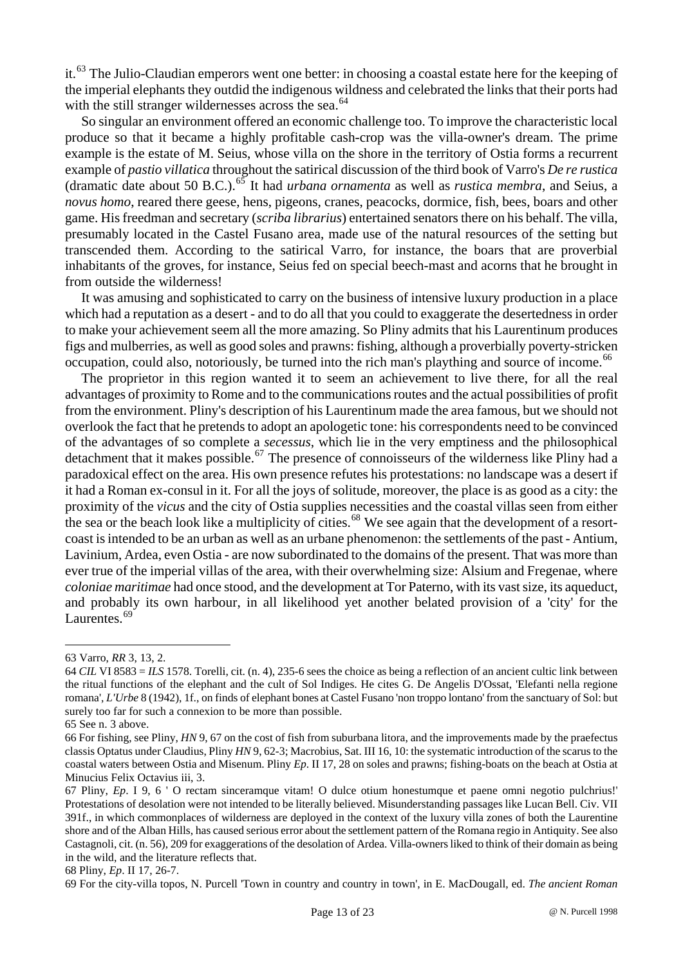it.[63](#page-12-0) The Julio-Claudian emperors went one better: in choosing a coastal estate here for the keeping of the imperial elephants they outdid the indigenous wildness and celebrated the links that their ports had with the still stranger wildernesses across the sea.<sup>[64](#page-12-1)</sup>

So singular an environment offered an economic challenge too. To improve the characteristic local produce so that it became a highly profitable cash-crop was the villa-owner's dream. The prime example is the estate of M. Seius, whose villa on the shore in the territory of Ostia forms a recurrent example of *pastio villatica* throughout the satirical discussion of the third book of Varro's *De re rustica* (dramatic date about 50 B.C.).[65](#page-12-2) It had *urbana ornamenta* as well as *rustica membra*, and Seius, a *novus homo*, reared there geese, hens, pigeons, cranes, peacocks, dormice, fish, bees, boars and other game. His freedman and secretary (*scriba librarius*) entertained senators there on his behalf. The villa, presumably located in the Castel Fusano area, made use of the natural resources of the setting but transcended them. According to the satirical Varro, for instance, the boars that are proverbial inhabitants of the groves, for instance, Seius fed on special beech-mast and acorns that he brought in from outside the wilderness!

It was amusing and sophisticated to carry on the business of intensive luxury production in a place which had a reputation as a desert - and to do all that you could to exaggerate the desertedness in order to make your achievement seem all the more amazing. So Pliny admits that his Laurentinum produces figs and mulberries, as well as good soles and prawns: fishing, although a proverbially poverty-stricken occupation, could also, notoriously, be turned into the rich man's plaything and source of income.<sup>[66](#page-12-3)</sup>

The proprietor in this region wanted it to seem an achievement to live there, for all the real advantages of proximity to Rome and to the communications routes and the actual possibilities of profit from the environment. Pliny's description of his Laurentinum made the area famous, but we should not overlook the fact that he pretends to adopt an apologetic tone: his correspondents need to be convinced of the advantages of so complete a *secessus*, which lie in the very emptiness and the philosophical detachment that it makes possible.<sup>[67](#page-12-4)</sup> The presence of connoisseurs of the wilderness like Pliny had a paradoxical effect on the area. His own presence refutes his protestations: no landscape was a desert if it had a Roman ex-consul in it. For all the joys of solitude, moreover, the place is as good as a city: the proximity of the *vicus* and the city of Ostia supplies necessities and the coastal villas seen from either the sea or the beach look like a multiplicity of cities.<sup>[68](#page-12-5)</sup> We see again that the development of a resortcoast is intended to be an urban as well as an urbane phenomenon: the settlements of the past - Antium, Lavinium, Ardea, even Ostia - are now subordinated to the domains of the present. That was more than ever true of the imperial villas of the area, with their overwhelming size: Alsium and Fregenae, where *coloniae maritimae* had once stood, and the development at Tor Paterno, with its vast size, its aqueduct, and probably its own harbour, in all likelihood yet another belated provision of a 'city' for the Laurentes.<sup>[69](#page-12-6)</sup>

<span id="page-12-0"></span><sup>63</sup> Varro, *RR* 3, 13, 2.

<span id="page-12-1"></span><sup>64</sup> *CIL* VI 8583 = *ILS* 1578. Torelli, cit. (n. 4), 235-6 sees the choice as being a reflection of an ancient cultic link between the ritual functions of the elephant and the cult of Sol Indiges. He cites G. De Angelis D'Ossat, 'Elefanti nella regione romana', *L'Urbe* 8 (1942), 1f., on finds of elephant bones at Castel Fusano 'non troppo lontano' from the sanctuary of Sol: but surely too far for such a connexion to be more than possible.

<span id="page-12-2"></span><sup>65</sup> See n. 3 above.

<span id="page-12-3"></span><sup>66</sup> For fishing, see Pliny, *HN* 9, 67 on the cost of fish from suburbana litora, and the improvements made by the praefectus classis Optatus under Claudius, Pliny *HN* 9, 62-3; Macrobius, Sat. III 16, 10: the systematic introduction of the scarus to the coastal waters between Ostia and Misenum. Pliny *Ep*. II 17, 28 on soles and prawns; fishing-boats on the beach at Ostia at Minucius Felix Octavius iii, 3.

<span id="page-12-4"></span><sup>67</sup> Pliny, *Ep*. I 9, 6 ' O rectam sinceramque vitam! O dulce otium honestumque et paene omni negotio pulchrius!' Protestations of desolation were not intended to be literally believed. Misunderstanding passages like Lucan Bell. Civ. VII 391f., in which commonplaces of wilderness are deployed in the context of the luxury villa zones of both the Laurentine shore and of the Alban Hills, has caused serious error about the settlement pattern of the Romana regio in Antiquity. See also Castagnoli, cit. (n. 56), 209 for exaggerations of the desolation of Ardea. Villa-owners liked to think of their domain as being in the wild, and the literature reflects that.

<span id="page-12-5"></span><sup>68</sup> Pliny, *Ep*. II 17, 26-7.

<span id="page-12-6"></span><sup>69</sup> For the city-villa topos, N. Purcell 'Town in country and country in town', in E. MacDougall, ed. *The ancient Roman*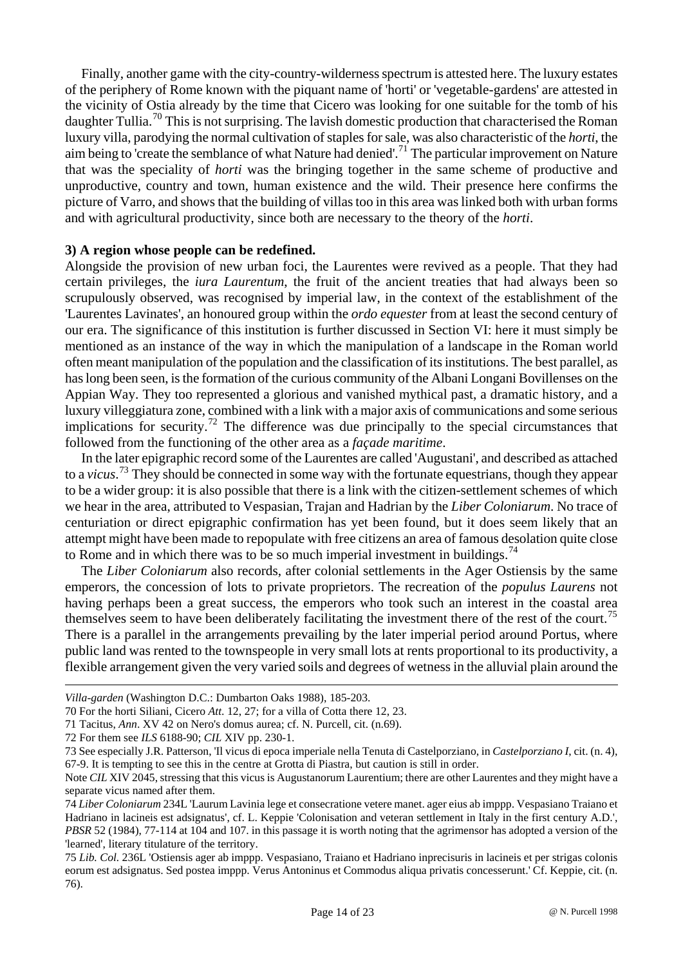Finally, another game with the city-country-wilderness spectrum is attested here. The luxury estates of the periphery of Rome known with the piquant name of 'horti' or 'vegetable-gardens' are attested in the vicinity of Ostia already by the time that Cicero was looking for one suitable for the tomb of his daughter Tullia.<sup>[70](#page-13-0)</sup> This is not surprising. The lavish domestic production that characterised the Roman luxury villa, parodying the normal cultivation of staples for sale, was also characteristic of the *horti*, the aim being to 'create the semblance of what Nature had denied'.<sup>[71](#page-13-1)</sup> The particular improvement on Nature that was the speciality of *horti* was the bringing together in the same scheme of productive and unproductive, country and town, human existence and the wild. Their presence here confirms the picture of Varro, and shows that the building of villas too in this area was linked both with urban forms and with agricultural productivity, since both are necessary to the theory of the *horti*.

#### **3) A region whose people can be redefined.**

Alongside the provision of new urban foci, the Laurentes were revived as a people. That they had certain privileges, the *iura Laurentum*, the fruit of the ancient treaties that had always been so scrupulously observed, was recognised by imperial law, in the context of the establishment of the 'Laurentes Lavinates', an honoured group within the *ordo equester* from at least the second century of our era. The significance of this institution is further discussed in Section VI: here it must simply be mentioned as an instance of the way in which the manipulation of a landscape in the Roman world often meant manipulation of the population and the classification of its institutions. The best parallel, as has long been seen, is the formation of the curious community of the Albani Longani Bovillenses on the Appian Way. They too represented a glorious and vanished mythical past, a dramatic history, and a luxury villeggiatura zone, combined with a link with a major axis of communications and some serious implications for security.<sup>[72](#page-13-2)</sup> The difference was due principally to the special circumstances that followed from the functioning of the other area as a *façade maritime*.

In the later epigraphic record some of the Laurentes are called 'Augustani', and described as attached to a *vicus*. [73](#page-13-3) They should be connected in some way with the fortunate equestrians, though they appear to be a wider group: it is also possible that there is a link with the citizen-settlement schemes of which we hear in the area, attributed to Vespasian, Trajan and Hadrian by the *Liber Coloniarum*. No trace of centuriation or direct epigraphic confirmation has yet been found, but it does seem likely that an attempt might have been made to repopulate with free citizens an area of famous desolation quite close to Rome and in which there was to be so much imperial investment in buildings.<sup>[74](#page-13-4)</sup>

The *Liber Coloniarum* also records, after colonial settlements in the Ager Ostiensis by the same emperors, the concession of lots to private proprietors. The recreation of the *populus Laurens* not having perhaps been a great success, the emperors who took such an interest in the coastal area themselves seem to have been deliberately facilitating the investment there of the rest of the court.<sup>[75](#page-13-5)</sup> There is a parallel in the arrangements prevailing by the later imperial period around Portus, where public land was rented to the townspeople in very small lots at rents proportional to its productivity, a flexible arrangement given the very varied soils and degrees of wetness in the alluvial plain around the

*Villa-garden* (Washington D.C.: Dumbarton Oaks 1988), 185-203.

<span id="page-13-0"></span><sup>70</sup> For the horti Siliani, Cicero *Att*. 12, 27; for a villa of Cotta there 12, 23.

<span id="page-13-1"></span><sup>71</sup> Tacitus, *Ann*. XV 42 on Nero's domus aurea; cf. N. Purcell, cit. (n.69).

<span id="page-13-2"></span><sup>72</sup> For them see *ILS* 6188-90; *CIL* XIV pp. 230-1.

<span id="page-13-3"></span><sup>73</sup> See especially J.R. Patterson, 'Il vicus di epoca imperiale nella Tenuta di Castelporziano, in *Castelporziano I*, cit. (n. 4), 67-9. It is tempting to see this in the centre at Grotta di Piastra, but caution is still in order.

Note *CIL* XIV 2045, stressing that this vicus is Augustanorum Laurentium; there are other Laurentes and they might have a separate vicus named after them.

<span id="page-13-4"></span><sup>74</sup> *Liber Coloniarum* 234L 'Laurum Lavinia lege et consecratione vetere manet. ager eius ab imppp. Vespasiano Traiano et Hadriano in lacineis est adsignatus', cf. L. Keppie 'Colonisation and veteran settlement in Italy in the first century A.D.', *PBSR* 52 (1984), 77-114 at 104 and 107. in this passage it is worth noting that the agrimensor has adopted a version of the 'learned', literary titulature of the territory.

<span id="page-13-5"></span><sup>75</sup> *Lib. Col.* 236L 'Ostiensis ager ab imppp. Vespasiano, Traiano et Hadriano inprecisuris in lacineis et per strigas colonis eorum est adsignatus. Sed postea imppp. Verus Antoninus et Commodus aliqua privatis concesserunt.' Cf. Keppie, cit. (n. 76).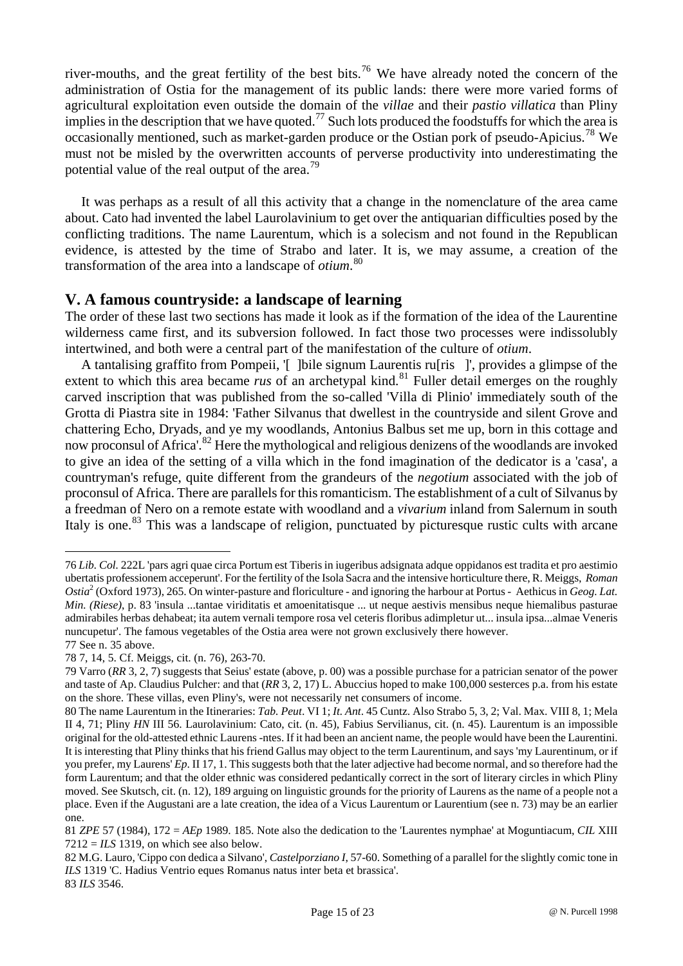river-mouths, and the great fertility of the best bits.[76](#page-14-0) We have already noted the concern of the administration of Ostia for the management of its public lands: there were more varied forms of agricultural exploitation even outside the domain of the *villae* and their *pastio villatica* than Pliny implies in the description that we have quoted.<sup>[77](#page-14-1)</sup> Such lots produced the foodstuffs for which the area is occasionally mentioned, such as market-garden produce or the Ostian pork of pseudo-Apicius.<sup>[78](#page-14-2)</sup> We must not be misled by the overwritten accounts of perverse productivity into underestimating the potential value of the real output of the area.<sup>[79](#page-14-3)</sup>

It was perhaps as a result of all this activity that a change in the nomenclature of the area came about. Cato had invented the label Laurolavinium to get over the antiquarian difficulties posed by the conflicting traditions. The name Laurentum, which is a solecism and not found in the Republican evidence, is attested by the time of Strabo and later. It is, we may assume, a creation of the transformation of the area into a landscape of *otium*. [80](#page-14-4)

# **V. A famous countryside: a landscape of learning**

The order of these last two sections has made it look as if the formation of the idea of the Laurentine wilderness came first, and its subversion followed. In fact those two processes were indissolubly intertwined, and both were a central part of the manifestation of the culture of *otium*.

A tantalising graffito from Pompeii, '[ ]bile signum Laurentis ru[ris ]', provides a glimpse of the extent to which this area became *rus* of an archetypal kind.<sup>[81](#page-14-5)</sup> Fuller detail emerges on the roughly carved inscription that was published from the so-called 'Villa di Plinio' immediately south of the Grotta di Piastra site in 1984: 'Father Silvanus that dwellest in the countryside and silent Grove and chattering Echo, Dryads, and ye my woodlands, Antonius Balbus set me up, born in this cottage and now proconsul of Africa'.[82](#page-14-6) Here the mythological and religious denizens of the woodlands are invoked to give an idea of the setting of a villa which in the fond imagination of the dedicator is a 'casa', a countryman's refuge, quite different from the grandeurs of the *negotium* associated with the job of proconsul of Africa. There are parallels for this romanticism. The establishment of a cult of Silvanus by a freedman of Nero on a remote estate with woodland and a *vivarium* inland from Salernum in south Italy is one.<sup>[83](#page-14-7)</sup> This was a landscape of religion, punctuated by picturesque rustic cults with arcane

<span id="page-14-0"></span><sup>76</sup> *Lib. Col.* 222L 'pars agri quae circa Portum est Tiberis in iugeribus adsignata adque oppidanos est tradita et pro aestimio ubertatis professionem acceperunt'. For the fertility of the Isola Sacra and the intensive horticulture there, R. Meiggs, *Roman Ostia*<sup>2</sup> (Oxford 1973), 265. On winter-pasture and floriculture - and ignoring the harbour at Portus - Aethicus in *Geog. Lat. Min. (Riese)*, p. 83 'insula ...tantae viriditatis et amoenitatisque ... ut neque aestivis mensibus neque hiemalibus pasturae admirabiles herbas dehabeat; ita autem vernali tempore rosa vel ceteris floribus adimpletur ut... insula ipsa...almae Veneris nuncupetur'. The famous vegetables of the Ostia area were not grown exclusively there however. 77 See n. 35 above.

<span id="page-14-2"></span><span id="page-14-1"></span><sup>78 7, 14, 5.</sup> Cf. Meiggs, cit. (n. 76), 263-70.

<span id="page-14-3"></span><sup>79</sup> Varro (*RR* 3, 2, 7) suggests that Seius' estate (above, p. 00) was a possible purchase for a patrician senator of the power and taste of Ap. Claudius Pulcher: and that (*RR* 3, 2, 17) L. Abuccius hoped to make 100,000 sesterces p.a. from his estate on the shore. These villas, even Pliny's, were not necessarily net consumers of income.

<span id="page-14-4"></span><sup>80</sup> The name Laurentum in the Itineraries: *Tab. Peut*. VI 1; *It. Ant*. 45 Cuntz. Also Strabo 5, 3, 2; Val. Max. VIII 8, 1; Mela II 4, 71; Pliny *HN* III 56. Laurolavinium: Cato, cit. (n. 45), Fabius Servilianus, cit. (n. 45). Laurentum is an impossible original for the old-attested ethnic Laurens -ntes. If it had been an ancient name, the people would have been the Laurentini. It is interesting that Pliny thinks that his friend Gallus may object to the term Laurentinum, and says 'my Laurentinum, or if you prefer, my Laurens' *Ep*. II 17, 1. This suggests both that the later adjective had become normal, and so therefore had the form Laurentum; and that the older ethnic was considered pedantically correct in the sort of literary circles in which Pliny moved. See Skutsch, cit. (n. 12), 189 arguing on linguistic grounds for the priority of Laurens as the name of a people not a place. Even if the Augustani are a late creation, the idea of a Vicus Laurentum or Laurentium (see n. 73) may be an earlier one.

<span id="page-14-5"></span><sup>81</sup> *ZPE* 57 (1984), 172 = *AEp* 1989. 185. Note also the dedication to the 'Laurentes nymphae' at Moguntiacum, *CIL* XIII  $7212 = ILS$  1319, on which see also below.

<span id="page-14-7"></span><span id="page-14-6"></span><sup>82</sup> M.G. Lauro, 'Cippo con dedica a Silvano', *Castelporziano I*, 57-60. Something of a parallel for the slightly comic tone in *ILS* 1319 'C. Hadius Ventrio eques Romanus natus inter beta et brassica'. 83 *ILS* 3546.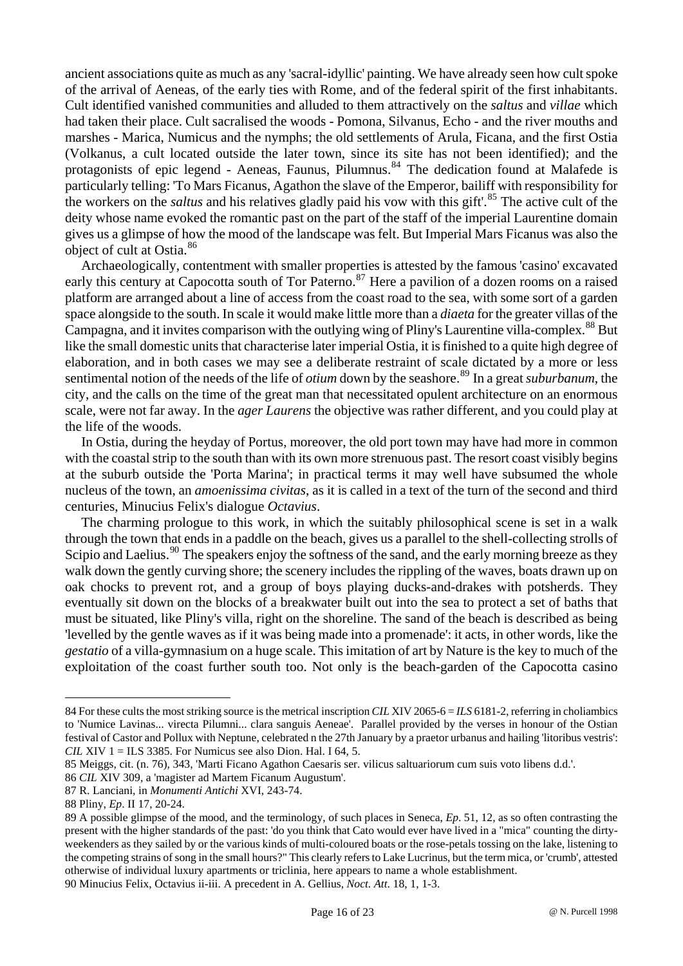ancient associations quite as much as any 'sacral-idyllic' painting. We have already seen how cult spoke of the arrival of Aeneas, of the early ties with Rome, and of the federal spirit of the first inhabitants. Cult identified vanished communities and alluded to them attractively on the *saltus* and *villae* which had taken their place. Cult sacralised the woods - Pomona, Silvanus, Echo - and the river mouths and marshes - Marica, Numicus and the nymphs; the old settlements of Arula, Ficana, and the first Ostia (Volkanus, a cult located outside the later town, since its site has not been identified); and the protagonists of epic legend - Aeneas, Faunus, Pilumnus.<sup>[84](#page-15-0)</sup> The dedication found at Malafede is particularly telling: 'To Mars Ficanus, Agathon the slave of the Emperor, bailiff with responsibility for the workers on the *saltus* and his relatives gladly paid his vow with this gift<sup>'.[85](#page-15-1)</sup> The active cult of the deity whose name evoked the romantic past on the part of the staff of the imperial Laurentine domain gives us a glimpse of how the mood of the landscape was felt. But Imperial Mars Ficanus was also the object of cult at Ostia.[86](#page-15-2)

Archaeologically, contentment with smaller properties is attested by the famous 'casino' excavated early this century at Capocotta south of Tor Paterno.<sup>[87](#page-15-3)</sup> Here a pavilion of a dozen rooms on a raised platform are arranged about a line of access from the coast road to the sea, with some sort of a garden space alongside to the south. In scale it would make little more than a *diaeta* for the greater villas of the Campagna, and it invites comparison with the outlying wing of Pliny's Laurentine villa-complex.<sup>[88](#page-15-4)</sup> But like the small domestic units that characterise later imperial Ostia, it is finished to a quite high degree of elaboration, and in both cases we may see a deliberate restraint of scale dictated by a more or less sentimental notion of the needs of the life of *otium* down by the seashore.<sup>89</sup> In a great *suburbanum*, the city, and the calls on the time of the great man that necessitated opulent architecture on an enormous scale, were not far away. In the *ager Laurens* the objective was rather different, and you could play at the life of the woods.

In Ostia, during the heyday of Portus, moreover, the old port town may have had more in common with the coastal strip to the south than with its own more strenuous past. The resort coast visibly begins at the suburb outside the 'Porta Marina'; in practical terms it may well have subsumed the whole nucleus of the town, an *amoenissima civitas*, as it is called in a text of the turn of the second and third centuries, Minucius Felix's dialogue *Octavius*.

The charming prologue to this work, in which the suitably philosophical scene is set in a walk through the town that ends in a paddle on the beach, gives us a parallel to the shell-collecting strolls of Scipio and Laelius.<sup>[90](#page-15-6)</sup> The speakers enjoy the softness of the sand, and the early morning breeze as they walk down the gently curving shore; the scenery includes the rippling of the waves, boats drawn up on oak chocks to prevent rot, and a group of boys playing ducks-and-drakes with potsherds. They eventually sit down on the blocks of a breakwater built out into the sea to protect a set of baths that must be situated, like Pliny's villa, right on the shoreline. The sand of the beach is described as being 'levelled by the gentle waves as if it was being made into a promenade': it acts, in other words, like the *gestatio* of a villa-gymnasium on a huge scale. This imitation of art by Nature is the key to much of the exploitation of the coast further south too. Not only is the beach-garden of the Capocotta casino

<span id="page-15-0"></span><sup>84</sup> For these cults the most striking source is the metrical inscription *CIL* XIV 2065-6 = *ILS* 6181-2, referring in choliambics to 'Numice Lavinas... virecta Pilumni... clara sanguis Aeneae'. Parallel provided by the verses in honour of the Ostian festival of Castor and Pollux with Neptune, celebrated n the 27th January by a praetor urbanus and hailing 'litoribus vestris': *CIL* XIV  $1 = ILS$  3385. For Numicus see also Dion. Hal. I 64, 5.

<span id="page-15-1"></span><sup>85</sup> Meiggs, cit. (n. 76), 343, 'Marti Ficano Agathon Caesaris ser. vilicus saltuariorum cum suis voto libens d.d.'.

<span id="page-15-2"></span><sup>86</sup> *CIL* XIV 309, a 'magister ad Martem Ficanum Augustum'.

<span id="page-15-3"></span><sup>87</sup> R. Lanciani, in *Monumenti Antichi* XVI, 243-74.

<span id="page-15-4"></span><sup>88</sup> Pliny, *Ep*. II 17, 20-24.

<span id="page-15-5"></span><sup>89</sup> A possible glimpse of the mood, and the terminology, of such places in Seneca, *Ep*. 51, 12, as so often contrasting the present with the higher standards of the past: 'do you think that Cato would ever have lived in a "mica" counting the dirtyweekenders as they sailed by or the various kinds of multi-coloured boats or the rose-petals tossing on the lake, listening to the competing strains of song in the small hours?" This clearly refers to Lake Lucrinus, but the term mica, or 'crumb', attested otherwise of individual luxury apartments or triclinia, here appears to name a whole establishment.

<span id="page-15-6"></span><sup>90</sup> Minucius Felix, Octavius ii-iii. A precedent in A. Gellius, *Noct. Att*. 18, 1, 1-3.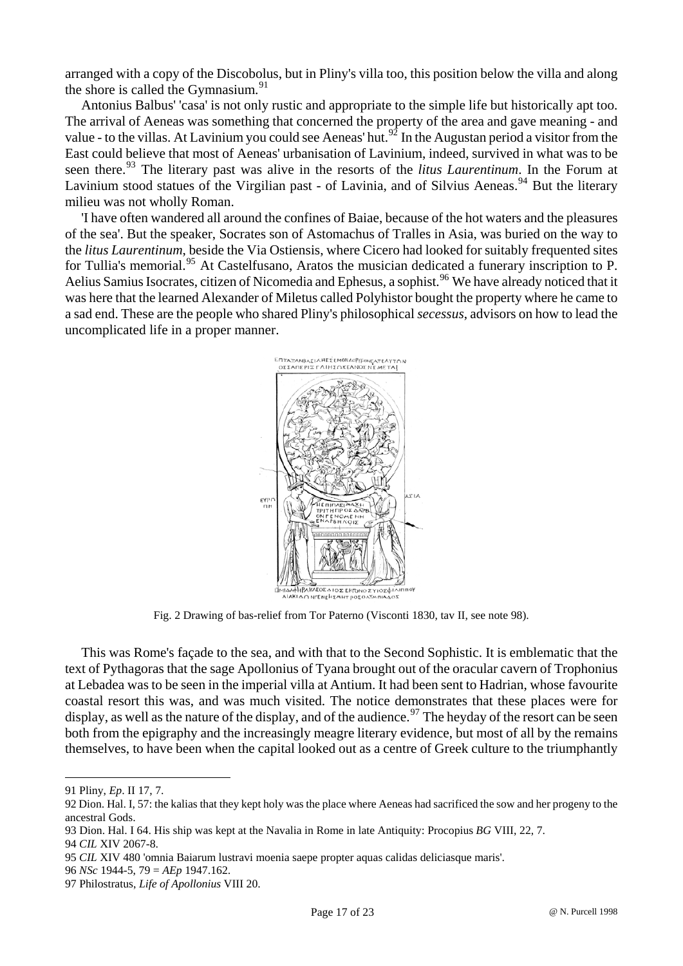arranged with a copy of the Discobolus, but in Pliny's villa too, this position below the villa and along the shore is called the Gymnasium. $91$ 

Antonius Balbus' 'casa' is not only rustic and appropriate to the simple life but historically apt too. The arrival of Aeneas was something that concerned the property of the area and gave meaning - and value - to the villas. At Lavinium you could see Aeneas' hut.<sup>[92](#page-16-1)</sup> In the Augustan period a visitor from the East could believe that most of Aeneas' urbanisation of Lavinium, indeed, survived in what was to be seen there.<sup>[93](#page-16-2)</sup> The literary past was alive in the resorts of the *litus Laurentinum*. In the Forum at Lavinium stood statues of the Virgilian past - of Lavinia, and of Silvius Aeneas.<sup>[94](#page-16-3)</sup> But the literary milieu was not wholly Roman.

'I have often wandered all around the confines of Baiae, because of the hot waters and the pleasures of the sea'. But the speaker, Socrates son of Astomachus of Tralles in Asia, was buried on the way to the *litus Laurentinum*, beside the Via Ostiensis, where Cicero had looked for suitably frequented sites for Tullia's memorial.<sup>[95](#page-16-4)</sup> At Castelfusano, Aratos the musician dedicated a funerary inscription to P. Aelius Samius Isocrates, citizen of Nicomedia and Ephesus, a sophist.<sup>[96](#page-16-5)</sup> We have already noticed that it was here that the learned Alexander of Miletus called Polyhistor bought the property where he came to a sad end. These are the people who shared Pliny's philosophical *secessus*, advisors on how to lead the uncomplicated life in a proper manner.



Fig. 2 Drawing of bas-relief from Tor Paterno (Visconti 1830, tav II, see note 98).

This was Rome's façade to the sea, and with that to the Second Sophistic. It is emblematic that the text of Pythagoras that the sage Apollonius of Tyana brought out of the oracular cavern of Trophonius at Lebadea was to be seen in the imperial villa at Antium. It had been sent to Hadrian, whose favourite coastal resort this was, and was much visited. The notice demonstrates that these places were for display, as well as the nature of the display, and of the audience.<sup>[97](#page-16-6)</sup> The heyday of the resort can be seen both from the epigraphy and the increasingly meagre literary evidence, but most of all by the remains themselves, to have been when the capital looked out as a centre of Greek culture to the triumphantly

<span id="page-16-0"></span><sup>91</sup> Pliny, *Ep*. II 17, 7.

<span id="page-16-1"></span><sup>92</sup> Dion. Hal. I, 57: the kalias that they kept holy was the place where Aeneas had sacrificed the sow and her progeny to the ancestral Gods.

<span id="page-16-2"></span><sup>93</sup> Dion. Hal. I 64. His ship was kept at the Navalia in Rome in late Antiquity: Procopius *BG* VIII, 22, 7.

<span id="page-16-3"></span><sup>94</sup> *CIL* XIV 2067-8.

<span id="page-16-4"></span><sup>95</sup> *CIL* XIV 480 'omnia Baiarum lustravi moenia saepe propter aquas calidas deliciasque maris'.

<span id="page-16-5"></span><sup>96</sup> *NSc* 1944-5, 79 = *AEp* 1947.162.

<span id="page-16-6"></span><sup>97</sup> Philostratus, *Life of Apollonius* VIII 20.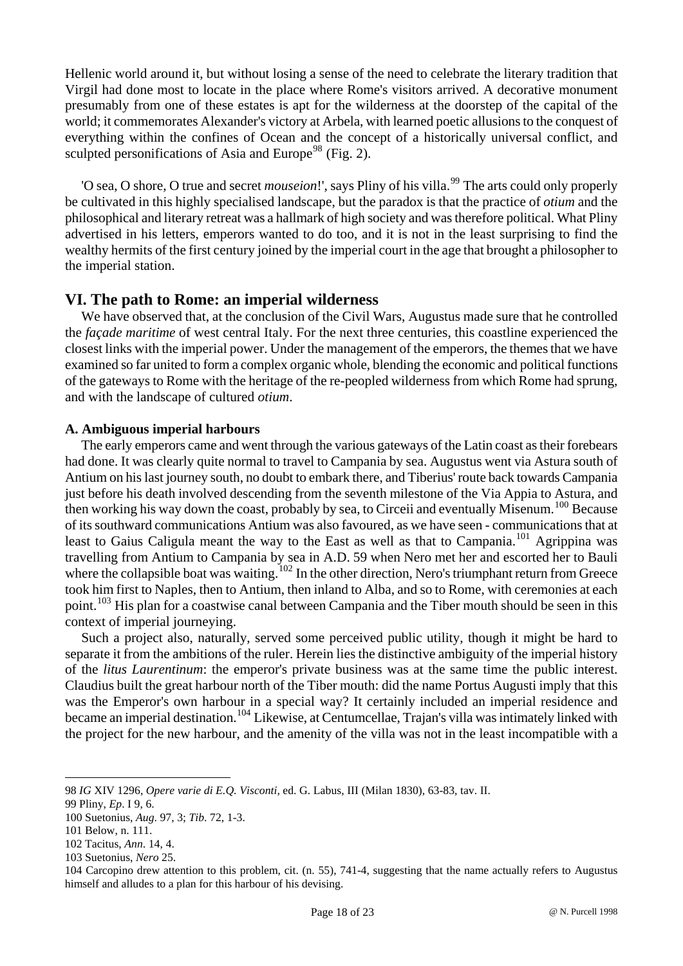Hellenic world around it, but without losing a sense of the need to celebrate the literary tradition that Virgil had done most to locate in the place where Rome's visitors arrived. A decorative monument presumably from one of these estates is apt for the wilderness at the doorstep of the capital of the world; it commemorates Alexander's victory at Arbela, with learned poetic allusions to the conquest of everything within the confines of Ocean and the concept of a historically universal conflict, and sculpted personifications of Asia and Europe<sup>[98](#page-17-0)</sup> (Fig. 2).

'O sea, O shore, O true and secret *mouseion*!', says Pliny of his villa.<sup>[99](#page-17-1)</sup> The arts could only properly be cultivated in this highly specialised landscape, but the paradox is that the practice of *otium* and the philosophical and literary retreat was a hallmark of high society and was therefore political. What Pliny advertised in his letters, emperors wanted to do too, and it is not in the least surprising to find the wealthy hermits of the first century joined by the imperial court in the age that brought a philosopher to the imperial station.

## **VI. The path to Rome: an imperial wilderness**

We have observed that, at the conclusion of the Civil Wars, Augustus made sure that he controlled the *façade maritime* of west central Italy. For the next three centuries, this coastline experienced the closest links with the imperial power. Under the management of the emperors, the themes that we have examined so far united to form a complex organic whole, blending the economic and political functions of the gateways to Rome with the heritage of the re-peopled wilderness from which Rome had sprung, and with the landscape of cultured *otium*.

#### **A. Ambiguous imperial harbours**

The early emperors came and went through the various gateways of the Latin coast as their forebears had done. It was clearly quite normal to travel to Campania by sea. Augustus went via Astura south of Antium on his last journey south, no doubt to embark there, and Tiberius' route back towards Campania just before his death involved descending from the seventh milestone of the Via Appia to Astura, and then working his way down the coast, probably by sea, to Circeii and eventually Misenum.[100](#page-17-2) Because of its southward communications Antium was also favoured, as we have seen - communications that at least to Gaius Caligula meant the way to the East as well as that to Campania.<sup>[101](#page-17-3)</sup> Agrippina was travelling from Antium to Campania by sea in A.D. 59 when Nero met her and escorted her to Bauli where the collapsible boat was waiting.<sup>[102](#page-17-4)</sup> In the other direction, Nero's triumphant return from Greece took him first to Naples, then to Antium, then inland to Alba, and so to Rome, with ceremonies at each point.<sup>[103](#page-17-5)</sup> His plan for a coastwise canal between Campania and the Tiber mouth should be seen in this context of imperial journeying.

Such a project also, naturally, served some perceived public utility, though it might be hard to separate it from the ambitions of the ruler. Herein lies the distinctive ambiguity of the imperial history of the *litus Laurentinum*: the emperor's private business was at the same time the public interest. Claudius built the great harbour north of the Tiber mouth: did the name Portus Augusti imply that this was the Emperor's own harbour in a special way? It certainly included an imperial residence and became an imperial destination.<sup>[104](#page-17-6)</sup> Likewise, at Centumcellae, Trajan's villa was intimately linked with the project for the new harbour, and the amenity of the villa was not in the least incompatible with a

<span id="page-17-0"></span><sup>98</sup> *IG* XIV 1296, *Opere varie di E.Q. Visconti,* ed. G. Labus, III (Milan 1830), 63-83, tav. II.

<span id="page-17-2"></span><span id="page-17-1"></span><sup>99</sup> Pliny, *Ep*. I 9, 6.

<sup>100</sup> Suetonius, *Aug*. 97, 3; *Tib*. 72, 1-3.

<span id="page-17-3"></span><sup>101</sup> Below, n. 111.

<span id="page-17-4"></span><sup>102</sup> Tacitus, *Ann*. 14, 4.

<span id="page-17-5"></span><sup>103</sup> Suetonius, *Nero* 25.

<span id="page-17-6"></span><sup>104</sup> Carcopino drew attention to this problem, cit. (n. 55), 741-4, suggesting that the name actually refers to Augustus himself and alludes to a plan for this harbour of his devising.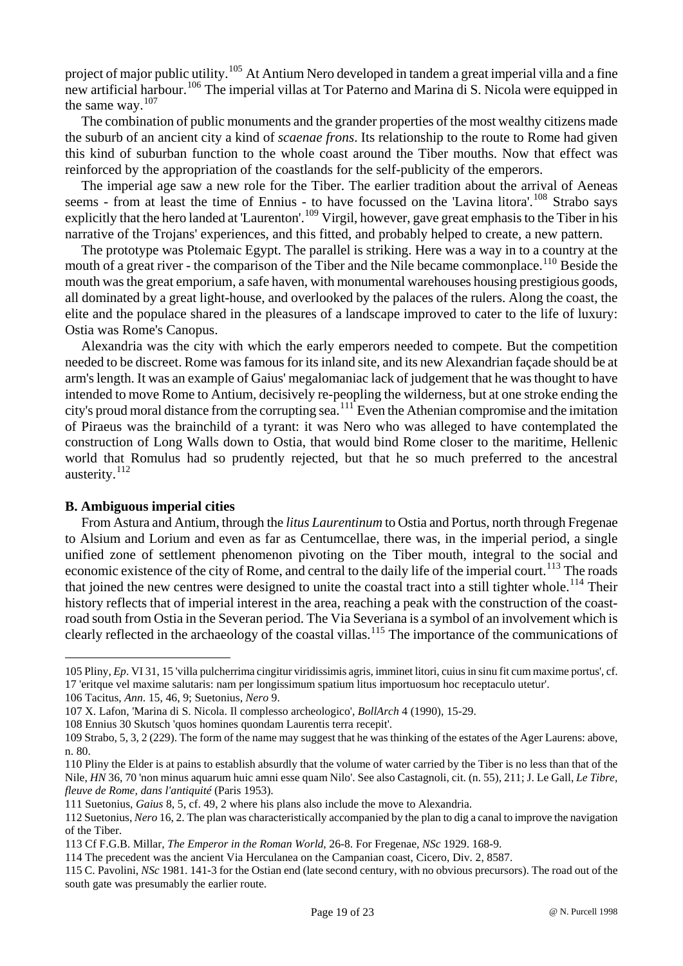project of major public utility.<sup>[105](#page-18-0)</sup> At Antium Nero developed in tandem a great imperial villa and a fine new artificial harbour.<sup>[106](#page-18-1)</sup> The imperial villas at Tor Paterno and Marina di S. Nicola were equipped in the same way.[107](#page-18-2)

The combination of public monuments and the grander properties of the most wealthy citizens made the suburb of an ancient city a kind of *scaenae frons*. Its relationship to the route to Rome had given this kind of suburban function to the whole coast around the Tiber mouths. Now that effect was reinforced by the appropriation of the coastlands for the self-publicity of the emperors.

The imperial age saw a new role for the Tiber. The earlier tradition about the arrival of Aeneas seems - from at least the time of Ennius - to have focussed on the 'Lavina litora'.<sup>[108](#page-18-3)</sup> Strabo says explicitly that the hero landed at 'Laurenton'.<sup>[109](#page-18-4)</sup> Virgil, however, gave great emphasis to the Tiber in his narrative of the Trojans' experiences, and this fitted, and probably helped to create, a new pattern.

The prototype was Ptolemaic Egypt. The parallel is striking. Here was a way in to a country at the mouth of a great river - the comparison of the Tiber and the Nile became commonplace.<sup>[110](#page-18-5)</sup> Beside the mouth was the great emporium, a safe haven, with monumental warehouses housing prestigious goods, all dominated by a great light-house, and overlooked by the palaces of the rulers. Along the coast, the elite and the populace shared in the pleasures of a landscape improved to cater to the life of luxury: Ostia was Rome's Canopus.

Alexandria was the city with which the early emperors needed to compete. But the competition needed to be discreet. Rome was famous for its inland site, and its new Alexandrian façade should be at arm's length. It was an example of Gaius' megalomaniac lack of judgement that he was thought to have intended to move Rome to Antium, decisively re-peopling the wilderness, but at one stroke ending the city's proud moral distance from the corrupting sea.[111](#page-18-6) Even the Athenian compromise and the imitation of Piraeus was the brainchild of a tyrant: it was Nero who was alleged to have contemplated the construction of Long Walls down to Ostia, that would bind Rome closer to the maritime, Hellenic world that Romulus had so prudently rejected, but that he so much preferred to the ancestral austerity.<sup>[112](#page-18-7)</sup>

#### **B. Ambiguous imperial cities**

 $\overline{a}$ 

From Astura and Antium, through the *litus Laurentinum* to Ostia and Portus, north through Fregenae to Alsium and Lorium and even as far as Centumcellae, there was, in the imperial period, a single unified zone of settlement phenomenon pivoting on the Tiber mouth, integral to the social and economic existence of the city of Rome, and central to the daily life of the imperial court.<sup>[113](#page-18-8)</sup> The roads that joined the new centres were designed to unite the coastal tract into a still tighter whole.<sup>[114](#page-18-9)</sup> Their history reflects that of imperial interest in the area, reaching a peak with the construction of the coastroad south from Ostia in the Severan period. The Via Severiana is a symbol of an involvement which is clearly reflected in the archaeology of the coastal villas.<sup>[115](#page-18-10)</sup> The importance of the communications of

<span id="page-18-0"></span><sup>105</sup> Pliny, *Ep*. VI 31, 15 'villa pulcherrima cingitur viridissimis agris, imminet litori, cuius in sinu fit cum maxime portus', cf. 17 'eritque vel maxime salutaris: nam per longissimum spatium litus importuosum hoc receptaculo utetur'.

<span id="page-18-1"></span><sup>106</sup> Tacitus, *Ann*. 15, 46, 9; Suetonius, *Nero* 9.

<span id="page-18-2"></span><sup>107</sup> X. Lafon, 'Marina di S. Nicola. Il complesso archeologico', *BollArch* 4 (1990), 15-29.

<sup>108</sup> Ennius 30 Skutsch 'quos homines quondam Laurentis terra recepit'.

<span id="page-18-4"></span><span id="page-18-3"></span><sup>109</sup> Strabo, 5, 3, 2 (229). The form of the name may suggest that he was thinking of the estates of the Ager Laurens: above, n. 80.

<span id="page-18-5"></span><sup>110</sup> Pliny the Elder is at pains to establish absurdly that the volume of water carried by the Tiber is no less than that of the Nile, *HN* 36, 70 'non minus aquarum huic amni esse quam Nilo'. See also Castagnoli, cit. (n. 55), 211; J. Le Gall, *Le Tibre, fleuve de Rome, dans l'antiquité* (Paris 1953).

<span id="page-18-6"></span><sup>111</sup> Suetonius, *Gaius* 8, 5, cf. 49, 2 where his plans also include the move to Alexandria.

<span id="page-18-7"></span><sup>112</sup> Suetonius, *Nero* 16, 2. The plan was characteristically accompanied by the plan to dig a canal to improve the navigation of the Tiber.

<span id="page-18-8"></span><sup>113</sup> Cf F.G.B. Millar, *The Emperor in the Roman World*, 26-8. For Fregenae, *NSc* 1929. 168-9.

<span id="page-18-9"></span><sup>114</sup> The precedent was the ancient Via Herculanea on the Campanian coast, Cicero, Div. 2, 8587.

<span id="page-18-10"></span><sup>115</sup> C. Pavolini, *NSc* 1981. 141-3 for the Ostian end (late second century, with no obvious precursors). The road out of the south gate was presumably the earlier route.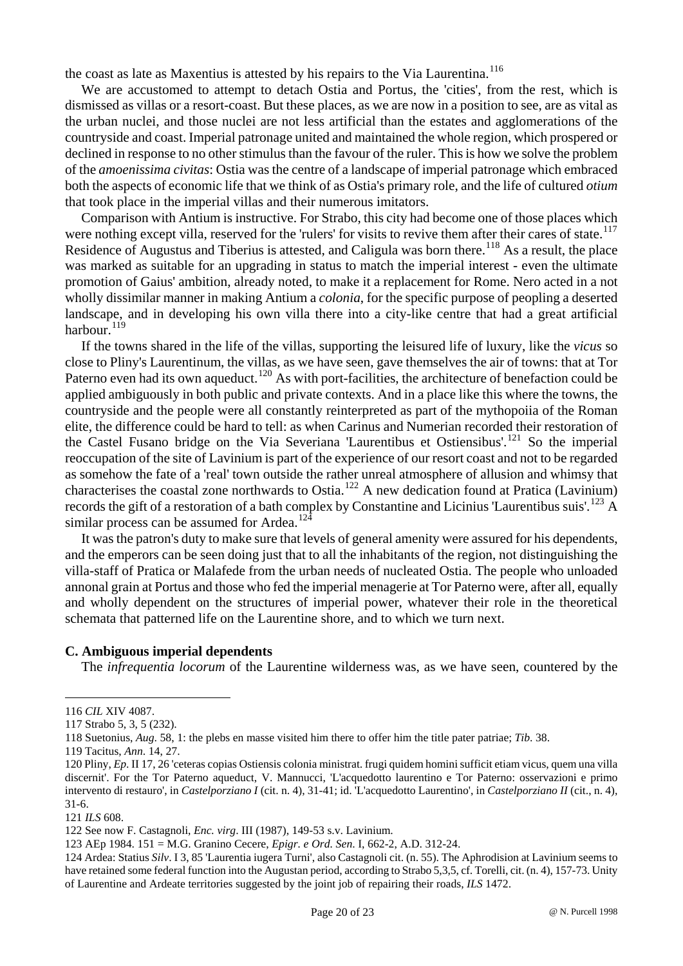the coast as late as Maxentius is attested by his repairs to the Via Laurentina.<sup>[116](#page-19-0)</sup>

We are accustomed to attempt to detach Ostia and Portus, the 'cities', from the rest, which is dismissed as villas or a resort-coast. But these places, as we are now in a position to see, are as vital as the urban nuclei, and those nuclei are not less artificial than the estates and agglomerations of the countryside and coast. Imperial patronage united and maintained the whole region, which prospered or declined in response to no other stimulus than the favour of the ruler. This is how we solve the problem of the *amoenissima civitas*: Ostia was the centre of a landscape of imperial patronage which embraced both the aspects of economic life that we think of as Ostia's primary role, and the life of cultured *otium* that took place in the imperial villas and their numerous imitators.

Comparison with Antium is instructive. For Strabo, this city had become one of those places which were nothing except villa, reserved for the 'rulers' for visits to revive them after their cares of state.<sup>[117](#page-19-1)</sup> Residence of Augustus and Tiberius is attested, and Caligula was born there.<sup>[118](#page-19-2)</sup> As a result, the place was marked as suitable for an upgrading in status to match the imperial interest - even the ultimate promotion of Gaius' ambition, already noted, to make it a replacement for Rome. Nero acted in a not wholly dissimilar manner in making Antium a *colonia*, for the specific purpose of peopling a deserted landscape, and in developing his own villa there into a city-like centre that had a great artificial harbour.<sup>[119](#page-19-3)</sup>

If the towns shared in the life of the villas, supporting the leisured life of luxury, like the *vicus* so close to Pliny's Laurentinum, the villas, as we have seen, gave themselves the air of towns: that at Tor Paterno even had its own aqueduct.<sup>[120](#page-19-4)</sup> As with port-facilities, the architecture of benefaction could be applied ambiguously in both public and private contexts. And in a place like this where the towns, the countryside and the people were all constantly reinterpreted as part of the mythopoiia of the Roman elite, the difference could be hard to tell: as when Carinus and Numerian recorded their restoration of the Castel Fusano bridge on the Via Severiana 'Laurentibus et Ostiensibus'.<sup>[121](#page-19-5)</sup> So the imperial reoccupation of the site of Lavinium is part of the experience of our resort coast and not to be regarded as somehow the fate of a 'real' town outside the rather unreal atmosphere of allusion and whimsy that characterises the coastal zone northwards to Ostia.[122](#page-19-6) A new dedication found at Pratica (Lavinium) records the gift of a restoration of a bath complex by Constantine and Licinius 'Laurentibus suis'.<sup>[123](#page-19-7)</sup> A similar process can be assumed for Ardea.<sup>[124](#page-19-8)</sup>

It was the patron's duty to make sure that levels of general amenity were assured for his dependents, and the emperors can be seen doing just that to all the inhabitants of the region, not distinguishing the villa-staff of Pratica or Malafede from the urban needs of nucleated Ostia. The people who unloaded annonal grain at Portus and those who fed the imperial menagerie at Tor Paterno were, after all, equally and wholly dependent on the structures of imperial power, whatever their role in the theoretical schemata that patterned life on the Laurentine shore, and to which we turn next.

#### **C. Ambiguous imperial dependents**

The *infrequentia locorum* of the Laurentine wilderness was, as we have seen, countered by the

<span id="page-19-0"></span><sup>116</sup> *CIL* XIV 4087.

<span id="page-19-1"></span><sup>117</sup> Strabo 5, 3, 5 (232).

<span id="page-19-2"></span><sup>118</sup> Suetonius, *Aug*. 58, 1: the plebs en masse visited him there to offer him the title pater patriae; *Tib*. 38.

<sup>119</sup> Tacitus, *Ann*. 14, 27.

<span id="page-19-4"></span><span id="page-19-3"></span><sup>120</sup> Pliny, *Ep*. II 17, 26 'ceteras copias Ostiensis colonia ministrat. frugi quidem homini sufficit etiam vicus, quem una villa discernit'. For the Tor Paterno aqueduct, V. Mannucci, 'L'acquedotto laurentino e Tor Paterno: osservazioni e primo intervento di restauro', in *Castelporziano I* (cit. n. 4), 31-41; id. 'L'acquedotto Laurentino', in *Castelporziano II* (cit., n. 4), 31-6.

<span id="page-19-5"></span><sup>121</sup> *ILS* 608.

<span id="page-19-6"></span><sup>122</sup> See now F. Castagnoli, *Enc. virg*. III (1987), 149-53 s.v. Lavinium.

<sup>123</sup> AEp 1984. 151 = M.G. Granino Cecere, *Epigr. e Ord. Sen*. I, 662-2, A.D. 312-24.

<span id="page-19-8"></span><span id="page-19-7"></span><sup>124</sup> Ardea: Statius *Silv*. I 3, 85 'Laurentia iugera Turni', also Castagnoli cit. (n. 55). The Aphrodision at Lavinium seems to have retained some federal function into the Augustan period, according to Strabo 5,3,5, cf. Torelli, cit. (n. 4), 157-73. Unity of Laurentine and Ardeate territories suggested by the joint job of repairing their roads, *ILS* 1472.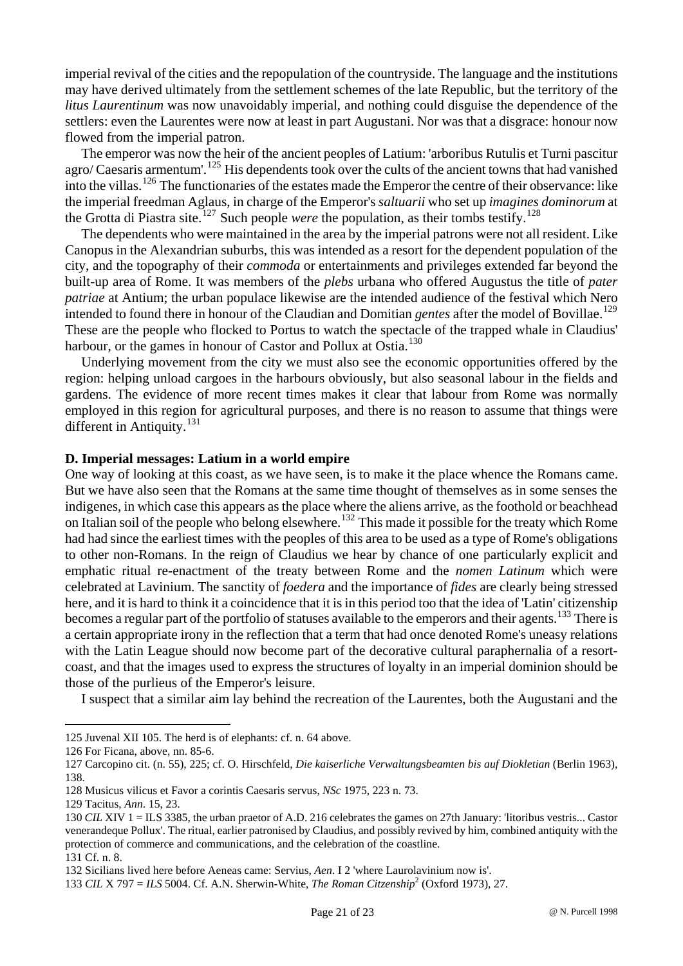imperial revival of the cities and the repopulation of the countryside. The language and the institutions may have derived ultimately from the settlement schemes of the late Republic, but the territory of the *litus Laurentinum* was now unavoidably imperial, and nothing could disguise the dependence of the settlers: even the Laurentes were now at least in part Augustani. Nor was that a disgrace: honour now flowed from the imperial patron.

The emperor was now the heir of the ancient peoples of Latium: 'arboribus Rutulis et Turni pascitur agro/ Caesaris armentum'.<sup>[125](#page-20-0)</sup> His dependents took over the cults of the ancient towns that had vanished into the villas.[126](#page-20-1) The functionaries of the estates made the Emperor the centre of their observance: like the imperial freedman Aglaus, in charge of the Emperor's *saltuarii* who set up *imagines dominorum* at the Grotta di Piastra site.<sup>[127](#page-20-2)</sup> Such people *were* the population, as their tombs testify.<sup>[128](#page-20-3)</sup>

The dependents who were maintained in the area by the imperial patrons were not all resident. Like Canopus in the Alexandrian suburbs, this was intended as a resort for the dependent population of the city, and the topography of their *commoda* or entertainments and privileges extended far beyond the built-up area of Rome. It was members of the *plebs* urbana who offered Augustus the title of *pater patriae* at Antium; the urban populace likewise are the intended audience of the festival which Nero intended to found there in honour of the Claudian and Domitian *gentes* after the model of Bovillae.<sup>[129](#page-20-4)</sup> These are the people who flocked to Portus to watch the spectacle of the trapped whale in Claudius' harbour, or the games in honour of Castor and Pollux at Ostia.<sup>[130](#page-20-5)</sup>

Underlying movement from the city we must also see the economic opportunities offered by the region: helping unload cargoes in the harbours obviously, but also seasonal labour in the fields and gardens. The evidence of more recent times makes it clear that labour from Rome was normally employed in this region for agricultural purposes, and there is no reason to assume that things were different in Antiquity.<sup>[131](#page-20-6)</sup>

#### **D. Imperial messages: Latium in a world empire**

One way of looking at this coast, as we have seen, is to make it the place whence the Romans came. But we have also seen that the Romans at the same time thought of themselves as in some senses the indigenes, in which case this appears as the place where the aliens arrive, as the foothold or beachhead on Italian soil of the people who belong elsewhere.<sup>[132](#page-20-7)</sup> This made it possible for the treaty which Rome had had since the earliest times with the peoples of this area to be used as a type of Rome's obligations to other non-Romans. In the reign of Claudius we hear by chance of one particularly explicit and emphatic ritual re-enactment of the treaty between Rome and the *nomen Latinum* which were celebrated at Lavinium. The sanctity of *foedera* and the importance of *fides* are clearly being stressed here, and it is hard to think it a coincidence that it is in this period too that the idea of 'Latin' citizenship becomes a regular part of the portfolio of statuses available to the emperors and their agents.<sup>[133](#page-20-8)</sup> There is a certain appropriate irony in the reflection that a term that had once denoted Rome's uneasy relations with the Latin League should now become part of the decorative cultural paraphernalia of a resortcoast, and that the images used to express the structures of loyalty in an imperial dominion should be those of the purlieus of the Emperor's leisure.

I suspect that a similar aim lay behind the recreation of the Laurentes, both the Augustani and the

<span id="page-20-0"></span><sup>125</sup> Juvenal XII 105. The herd is of elephants: cf. n. 64 above.

<span id="page-20-1"></span><sup>126</sup> For Ficana, above, nn. 85-6.

<span id="page-20-2"></span><sup>127</sup> Carcopino cit. (n. 55), 225; cf. O. Hirschfeld, *Die kaiserliche Verwaltungsbeamten bis auf Diokletian* (Berlin 1963), 138.

<span id="page-20-3"></span><sup>128</sup> Musicus vilicus et Favor a corintis Caesaris servus, *NSc* 1975, 223 n. 73.

<span id="page-20-4"></span><sup>129</sup> Tacitus, *Ann*. 15, 23.

<span id="page-20-5"></span><sup>130</sup> *CIL* XIV 1 = ILS 3385, the urban praetor of A.D. 216 celebrates the games on 27th January: 'litoribus vestris... Castor venerandeque Pollux'. The ritual, earlier patronised by Claudius, and possibly revived by him, combined antiquity with the protection of commerce and communications, and the celebration of the coastline.

<span id="page-20-6"></span><sup>131</sup> Cf. n. 8.

<span id="page-20-7"></span><sup>132</sup> Sicilians lived here before Aeneas came: Servius, *Aen*. I 2 'where Laurolavinium now is'.

<span id="page-20-8"></span><sup>133</sup> *CIL* X 797 = *ILS* 5004. Cf. A.N. Sherwin-White, *The Roman Citzenship*<sup>2</sup> (Oxford 1973), 27.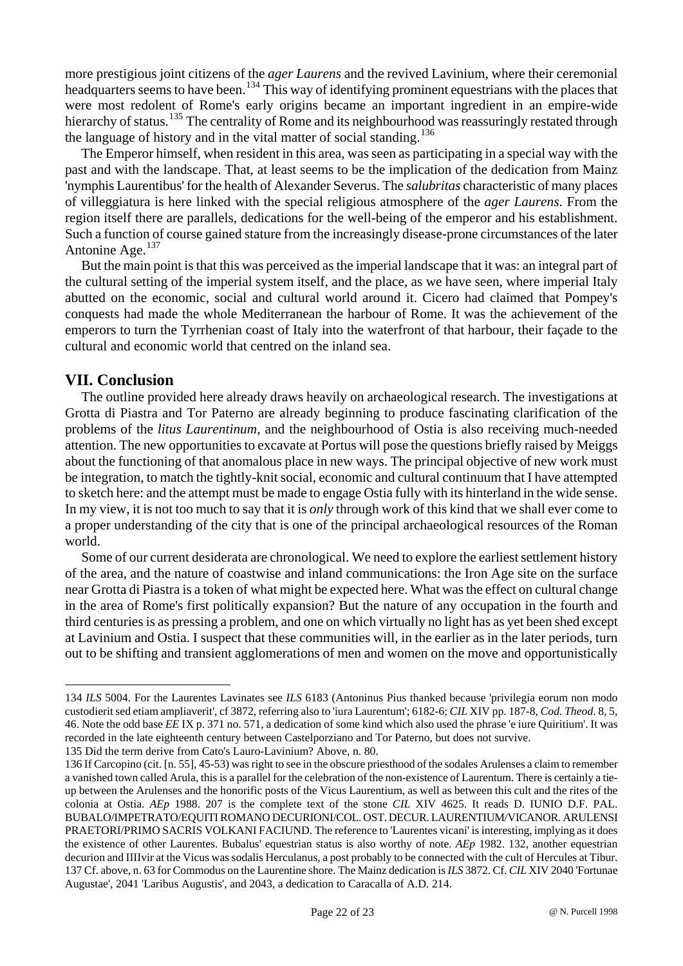more prestigious joint citizens of the *ager Laurens* and the revived Lavinium, where their ceremonial headquarters seems to have been.<sup>[134](#page-21-0)</sup> This way of identifying prominent equestrians with the places that were most redolent of Rome's early origins became an important ingredient in an empire-wide hierarchy of status.<sup>[135](#page-21-1)</sup> The centrality of Rome and its neighbourhood was reassuringly restated through the language of history and in the vital matter of social standing.<sup>[136](#page-21-2)</sup>

The Emperor himself, when resident in this area, was seen as participating in a special way with the past and with the landscape. That, at least seems to be the implication of the dedication from Mainz 'nymphis Laurentibus' for the health of Alexander Severus. The *salubritas* characteristic of many places of villeggiatura is here linked with the special religious atmosphere of the *ager Laurens*. From the region itself there are parallels, dedications for the well-being of the emperor and his establishment. Such a function of course gained stature from the increasingly disease-prone circumstances of the later Antonine Age.<sup>[137](#page-21-3)</sup>

But the main point is that this was perceived as the imperial landscape that it was: an integral part of the cultural setting of the imperial system itself, and the place, as we have seen, where imperial Italy abutted on the economic, social and cultural world around it. Cicero had claimed that Pompey's conquests had made the whole Mediterranean the harbour of Rome. It was the achievement of the emperors to turn the Tyrrhenian coast of Italy into the waterfront of that harbour, their façade to the cultural and economic world that centred on the inland sea.

## **VII. Conclusion**

 $\overline{a}$ 

The outline provided here already draws heavily on archaeological research. The investigations at Grotta di Piastra and Tor Paterno are already beginning to produce fascinating clarification of the problems of the *litus Laurentinum*, and the neighbourhood of Ostia is also receiving much-needed attention. The new opportunities to excavate at Portus will pose the questions briefly raised by Meiggs about the functioning of that anomalous place in new ways. The principal objective of new work must be integration, to match the tightly-knit social, economic and cultural continuum that I have attempted to sketch here: and the attempt must be made to engage Ostia fully with its hinterland in the wide sense. In my view, it is not too much to say that it is *only* through work of this kind that we shall ever come to a proper understanding of the city that is one of the principal archaeological resources of the Roman world.

Some of our current desiderata are chronological. We need to explore the earliest settlement history of the area, and the nature of coastwise and inland communications: the Iron Age site on the surface near Grotta di Piastra is a token of what might be expected here. What was the effect on cultural change in the area of Rome's first politically expansion? But the nature of any occupation in the fourth and third centuries is as pressing a problem, and one on which virtually no light has as yet been shed except at Lavinium and Ostia. I suspect that these communities will, in the earlier as in the later periods, turn out to be shifting and transient agglomerations of men and women on the move and opportunistically

<span id="page-21-0"></span><sup>134</sup> *ILS* 5004. For the Laurentes Lavinates see *ILS* 6183 (Antoninus Pius thanked because 'privilegia eorum non modo custodierit sed etiam ampliaverit', cf 3872, referring also to 'iura Laurentum'; 6182-6; *CIL* XIV pp. 187-8, *Cod. Theod*. 8, 5, 46. Note the odd base *EE* IX p. 371 no. 571, a dedication of some kind which also used the phrase 'e iure Quiritium'. It was recorded in the late eighteenth century between Castelporziano and Tor Paterno, but does not survive.

<span id="page-21-1"></span><sup>135</sup> Did the term derive from Cato's Lauro-Lavinium? Above, n. 80.

<span id="page-21-3"></span><span id="page-21-2"></span><sup>136</sup> If Carcopino (cit. [n. 55], 45-53) was right to see in the obscure priesthood of the sodales Arulenses a claim to remember a vanished town called Arula, this is a parallel for the celebration of the non-existence of Laurentum. There is certainly a tieup between the Arulenses and the honorific posts of the Vicus Laurentium, as well as between this cult and the rites of the colonia at Ostia. *AEp* 1988. 207 is the complete text of the stone *CIL* XIV 4625. It reads D. IUNIO D.F. PAL. BUBALO/IMPETRATO/EQUITI ROMANO DECURIONI/COL. OST. DECUR. LAURENTIUM/VICANOR. ARULENSI PRAETORI/PRIMO SACRIS VOLKANI FACIUND. The reference to 'Laurentes vicani' is interesting, implying as it does the existence of other Laurentes. Bubalus' equestrian status is also worthy of note. *AEp* 1982. 132, another equestrian decurion and IIIIvir at the Vicus was sodalis Herculanus, a post probably to be connected with the cult of Hercules at Tibur. 137 Cf. above, n. 63 for Commodus on the Laurentine shore. The Mainz dedication is *ILS* 3872. Cf. *CIL* XIV 2040 'Fortunae Augustae', 2041 'Laribus Augustis', and 2043, a dedication to Caracalla of A.D. 214.